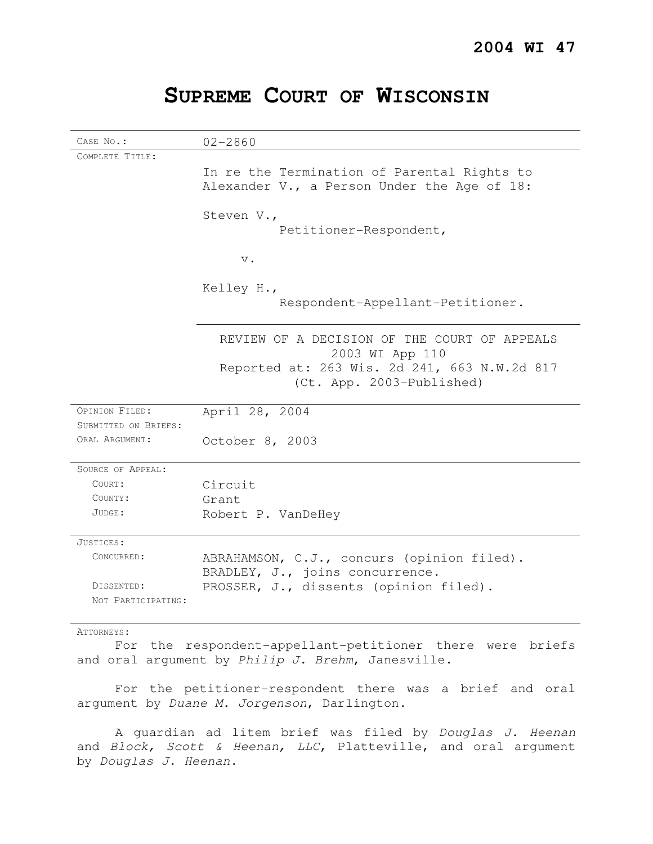# **SUPREME COURT OF WISCONSIN**

| CASE No.:            | $02 - 2860$                                                                                                     |
|----------------------|-----------------------------------------------------------------------------------------------------------------|
| COMPLETE TITLE:      |                                                                                                                 |
|                      | In re the Termination of Parental Rights to                                                                     |
|                      | Alexander V., a Person Under the Age of 18:                                                                     |
|                      | Steven V.,                                                                                                      |
|                      | Petitioner-Respondent,                                                                                          |
|                      | $\mathbf v$ .                                                                                                   |
|                      | Kelley H.,                                                                                                      |
|                      | Respondent-Appellant-Petitioner.                                                                                |
|                      | REVIEW OF A DECISION OF THE COURT OF APPEALS<br>2003 WI App 110<br>Reported at: 263 Wis. 2d 241, 663 N.W.2d 817 |
|                      | (Ct. App. 2003-Published)                                                                                       |
| OPINION FILED:       | April 28, 2004                                                                                                  |
| SUBMITTED ON BRIEFS: |                                                                                                                 |
| ORAL ARGUMENT:       | October 8, 2003                                                                                                 |
| SOURCE OF APPEAL:    |                                                                                                                 |
| COURT:               | Circuit                                                                                                         |
| COUNTY:              | Grant                                                                                                           |
| JUDGE:               | Robert P. VanDeHey                                                                                              |
| JUSTICES:            |                                                                                                                 |
| CONCURRED:           | ABRAHAMSON, C.J., concurs (opinion filed).<br>BRADLEY, J., joins concurrence.                                   |
| DISSENTED:           | PROSSER, J., dissents (opinion filed).                                                                          |
| NOT PARTICIPATING:   |                                                                                                                 |
|                      |                                                                                                                 |

ATTORNEYS:

For the respondent-appellant-petitioner there were briefs and oral argument by Philip J. Brehm, Janesville.

For the petitioner-respondent there was a brief and oral argument by Duane M. Jorgenson, Darlington.

A guardian ad litem brief was filed by Douglas J. Heenan and Block, Scott & Heenan, LLC, Platteville, and oral argument by Douglas J. Heenan.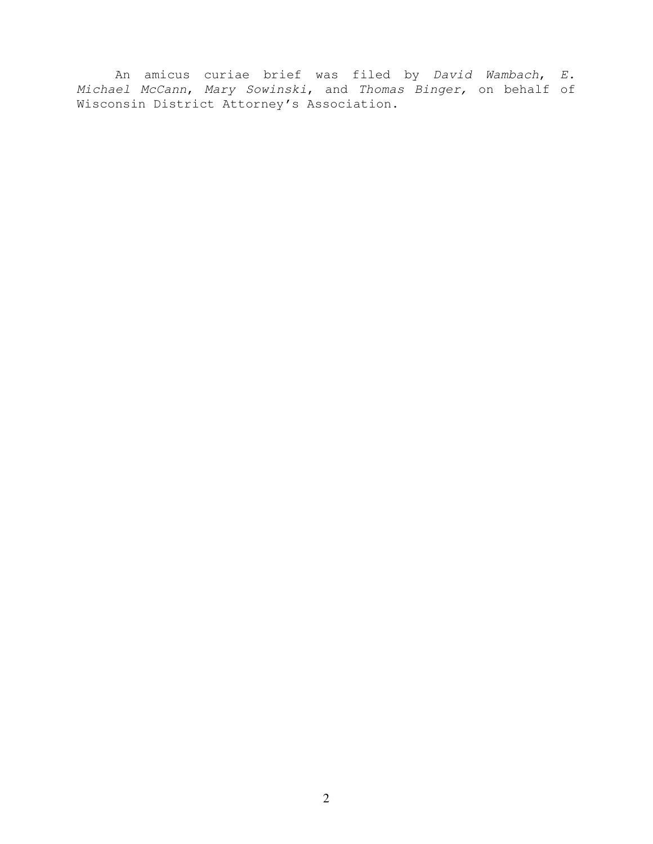An amicus curiae brief was filed by David Wambach, E. Michael McCann, Mary Sowinski, and Thomas Binger, on behalf of Wisconsin District Attorney's Association.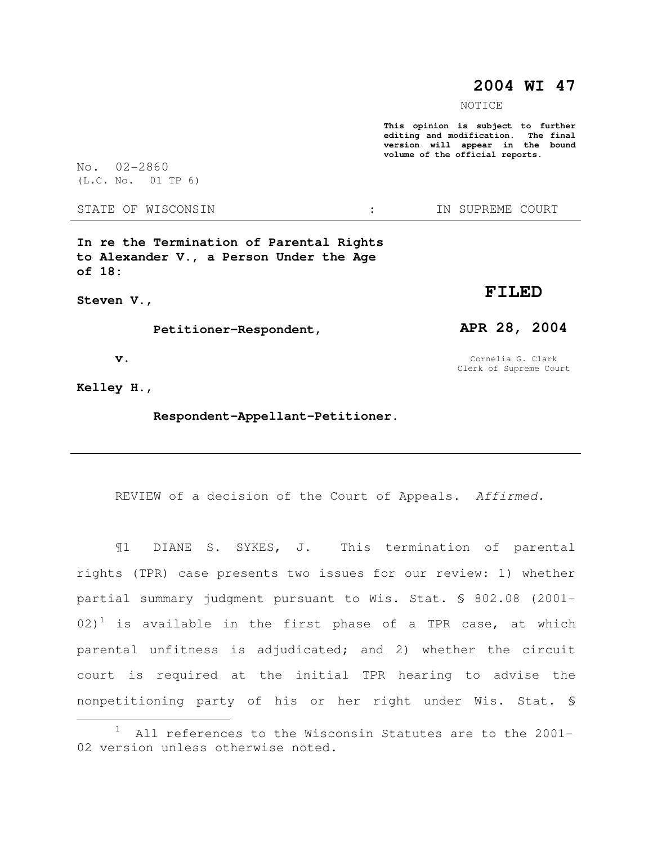# **2004 WI 47**

NOTICE

**This opinion is subject to further editing and modification. The final version will appear in the bound volume of the official reports.** 

No. 02-2860 (L.C. No. 01 TP 6)

STATE OF WISCONSIN  $\cdot$   $\cdot$  in SUPREME COURT

**In re the Termination of Parental Rights to Alexander V., a Person Under the Age of 18:** 

**Steven V.,** 

 **Petitioner-Respondent,** 

 **v.** 

**Kelley H.,** 

 $\overline{a}$ 

 **Respondent-Appellant-Petitioner.** 

REVIEW of a decision of the Court of Appeals. Affirmed.

¶1 DIANE S. SYKES, J. This termination of parental rights (TPR) case presents two issues for our review: 1) whether partial summary judgment pursuant to Wis. Stat. § 802.08 (2001-  $(02)^1$  is available in the first phase of a TPR case, at which parental unfitness is adjudicated; and 2) whether the circuit court is required at the initial TPR hearing to advise the nonpetitioning party of his or her right under Wis. Stat. §

**FILED** 

**APR 28, 2004** 

Cornelia G. Clark Clerk of Supreme Court

 $1$  All references to the Wisconsin Statutes are to the 2001-02 version unless otherwise noted.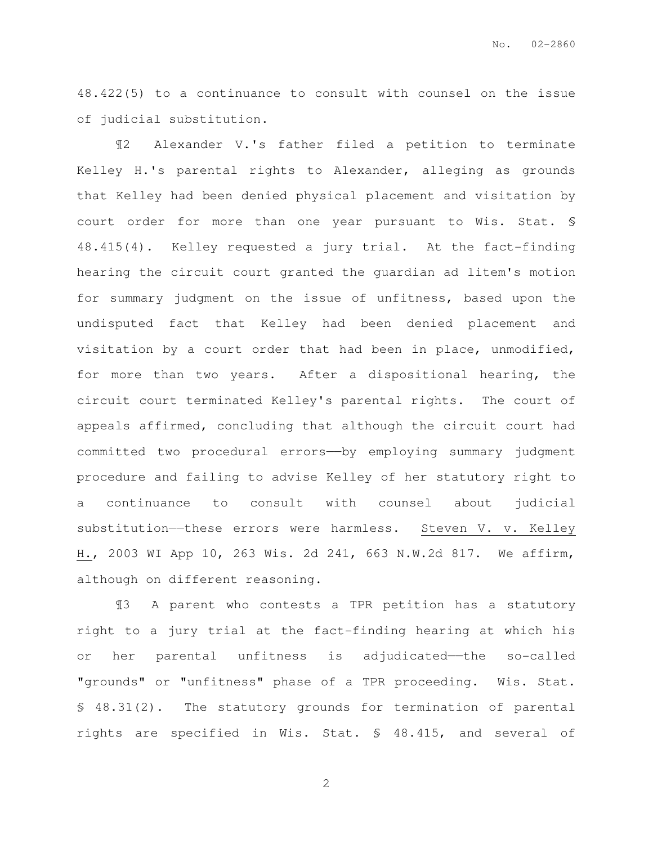48.422(5) to a continuance to consult with counsel on the issue of judicial substitution.

¶2 Alexander V.'s father filed a petition to terminate Kelley H.'s parental rights to Alexander, alleging as grounds that Kelley had been denied physical placement and visitation by court order for more than one year pursuant to Wis. Stat. § 48.415(4). Kelley requested a jury trial. At the fact-finding hearing the circuit court granted the guardian ad litem's motion for summary judgment on the issue of unfitness, based upon the undisputed fact that Kelley had been denied placement and visitation by a court order that had been in place, unmodified, for more than two years. After a dispositional hearing, the circuit court terminated Kelley's parental rights. The court of appeals affirmed, concluding that although the circuit court had committed two procedural errors——by employing summary judgment procedure and failing to advise Kelley of her statutory right to a continuance to consult with counsel about judicial substitution—these errors were harmless. Steven V. v. Kelley H., 2003 WI App 10, 263 Wis. 2d 241, 663 N.W.2d 817. We affirm, although on different reasoning.

¶3 A parent who contests a TPR petition has a statutory right to a jury trial at the fact-finding hearing at which his or her parental unfitness is adjudicated——the so-called "grounds" or "unfitness" phase of a TPR proceeding. Wis. Stat. § 48.31(2). The statutory grounds for termination of parental rights are specified in Wis. Stat. § 48.415, and several of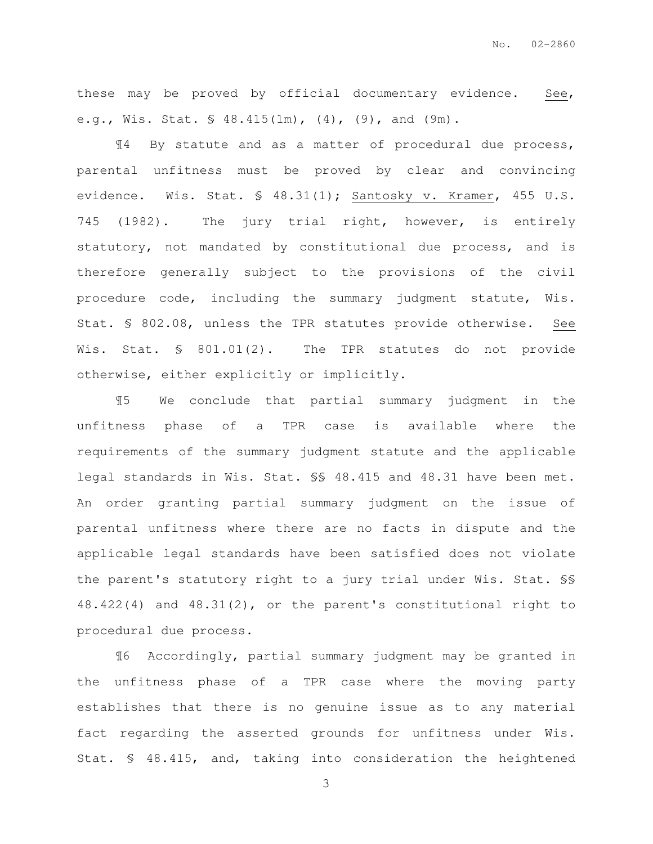these may be proved by official documentary evidence. See, e.g., Wis. Stat. § 48.415(1m), (4), (9), and (9m).

¶4 By statute and as a matter of procedural due process, parental unfitness must be proved by clear and convincing evidence. Wis. Stat. § 48.31(1); Santosky v. Kramer, 455 U.S. 745 (1982). The jury trial right, however, is entirely statutory, not mandated by constitutional due process, and is therefore generally subject to the provisions of the civil procedure code, including the summary judgment statute, Wis. Stat. § 802.08, unless the TPR statutes provide otherwise. See Wis. Stat. § 801.01(2). The TPR statutes do not provide otherwise, either explicitly or implicitly.

¶5 We conclude that partial summary judgment in the unfitness phase of a TPR case is available where the requirements of the summary judgment statute and the applicable legal standards in Wis. Stat. §§ 48.415 and 48.31 have been met. An order granting partial summary judgment on the issue of parental unfitness where there are no facts in dispute and the applicable legal standards have been satisfied does not violate the parent's statutory right to a jury trial under Wis. Stat. §§ 48.422(4) and 48.31(2), or the parent's constitutional right to procedural due process.

¶6 Accordingly, partial summary judgment may be granted in the unfitness phase of a TPR case where the moving party establishes that there is no genuine issue as to any material fact regarding the asserted grounds for unfitness under Wis. Stat. § 48.415, and, taking into consideration the heightened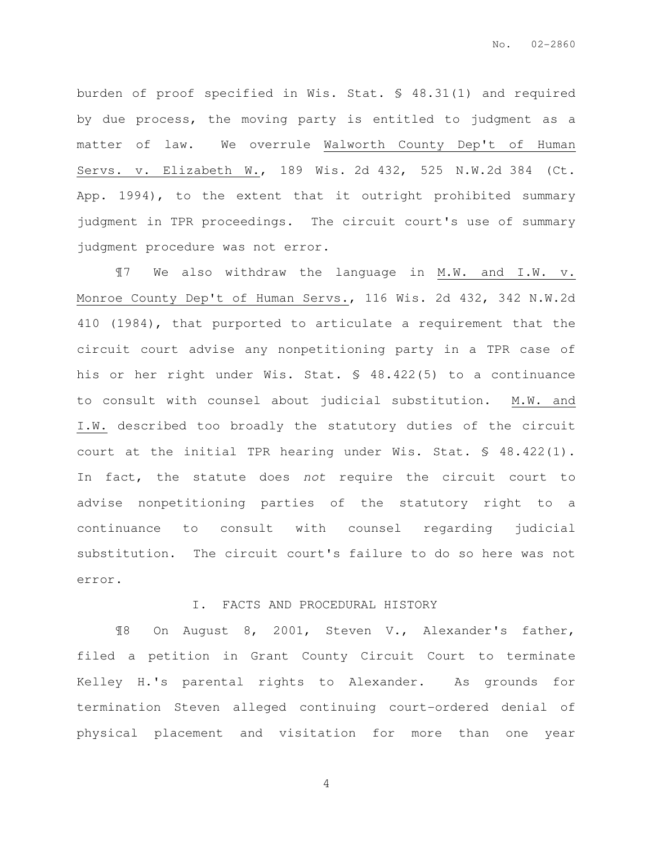burden of proof specified in Wis. Stat. § 48.31(1) and required by due process, the moving party is entitled to judgment as a matter of law. We overrule Walworth County Dep't of Human Servs. v. Elizabeth W., 189 Wis. 2d 432, 525 N.W.2d 384 (Ct. App. 1994), to the extent that it outright prohibited summary judgment in TPR proceedings. The circuit court's use of summary judgment procedure was not error.

¶7 We also withdraw the language in M.W. and I.W. v. Monroe County Dep't of Human Servs., 116 Wis. 2d 432, 342 N.W.2d 410 (1984), that purported to articulate a requirement that the circuit court advise any nonpetitioning party in a TPR case of his or her right under Wis. Stat. § 48.422(5) to a continuance to consult with counsel about judicial substitution. M.W. and I.W. described too broadly the statutory duties of the circuit court at the initial TPR hearing under Wis. Stat. § 48.422(1). In fact, the statute does not require the circuit court to advise nonpetitioning parties of the statutory right to a continuance to consult with counsel regarding judicial substitution. The circuit court's failure to do so here was not error.

#### I. FACTS AND PROCEDURAL HISTORY

¶8 On August 8, 2001, Steven V., Alexander's father, filed a petition in Grant County Circuit Court to terminate Kelley H.'s parental rights to Alexander. As grounds for termination Steven alleged continuing court-ordered denial of physical placement and visitation for more than one year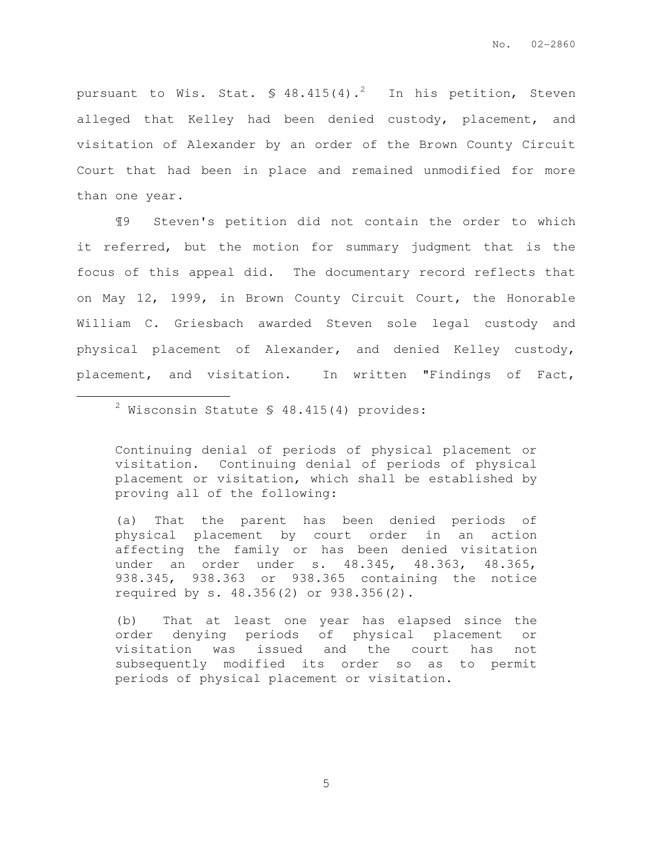pursuant to Wis. Stat.  $\frac{1}{2}$  48.415(4).<sup>2</sup> In his petition, Steven alleged that Kelley had been denied custody, placement, and visitation of Alexander by an order of the Brown County Circuit Court that had been in place and remained unmodified for more than one year.

¶9 Steven's petition did not contain the order to which it referred, but the motion for summary judgment that is the focus of this appeal did. The documentary record reflects that on May 12, 1999, in Brown County Circuit Court, the Honorable William C. Griesbach awarded Steven sole legal custody and physical placement of Alexander, and denied Kelley custody, placement, and visitation. In written "Findings of Fact,

 $2$  Wisconsin Statute § 48.415(4) provides:

 $\overline{a}$ 

Continuing denial of periods of physical placement or visitation. Continuing denial of periods of physical placement or visitation, which shall be established by proving all of the following:

(a) That the parent has been denied periods of physical placement by court order in an action affecting the family or has been denied visitation under an order under s. 48.345, 48.363, 48.365, 938.345, 938.363 or 938.365 containing the notice required by s. 48.356(2) or 938.356(2).

(b) That at least one year has elapsed since the order denying periods of physical placement or visitation was issued and the court has not subsequently modified its order so as to permit periods of physical placement or visitation.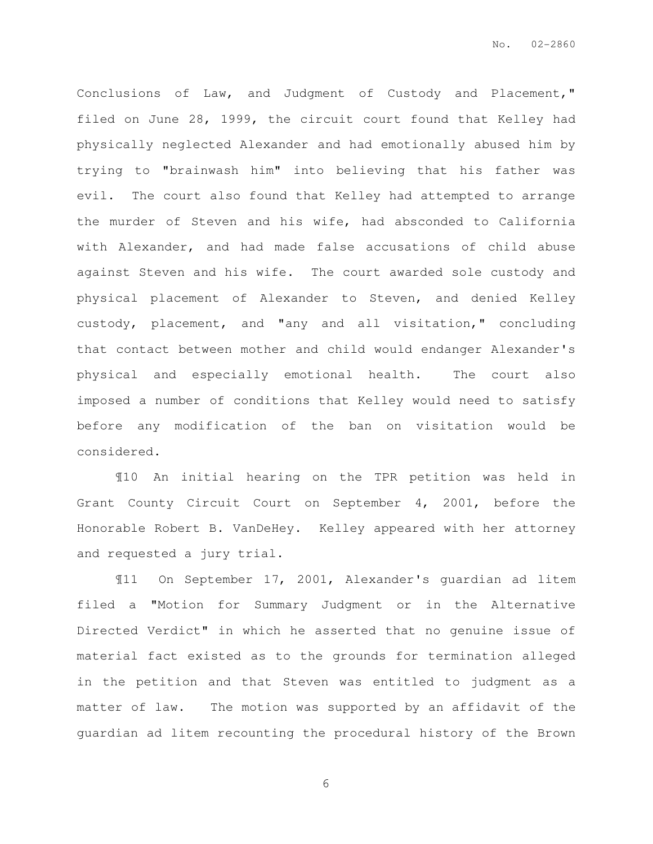Conclusions of Law, and Judgment of Custody and Placement," filed on June 28, 1999, the circuit court found that Kelley had physically neglected Alexander and had emotionally abused him by trying to "brainwash him" into believing that his father was evil. The court also found that Kelley had attempted to arrange the murder of Steven and his wife, had absconded to California with Alexander, and had made false accusations of child abuse against Steven and his wife. The court awarded sole custody and physical placement of Alexander to Steven, and denied Kelley custody, placement, and "any and all visitation," concluding that contact between mother and child would endanger Alexander's physical and especially emotional health. The court also imposed a number of conditions that Kelley would need to satisfy before any modification of the ban on visitation would be considered.

¶10 An initial hearing on the TPR petition was held in Grant County Circuit Court on September 4, 2001, before the Honorable Robert B. VanDeHey. Kelley appeared with her attorney and requested a jury trial.

¶11 On September 17, 2001, Alexander's guardian ad litem filed a "Motion for Summary Judgment or in the Alternative Directed Verdict" in which he asserted that no genuine issue of material fact existed as to the grounds for termination alleged in the petition and that Steven was entitled to judgment as a matter of law. The motion was supported by an affidavit of the guardian ad litem recounting the procedural history of the Brown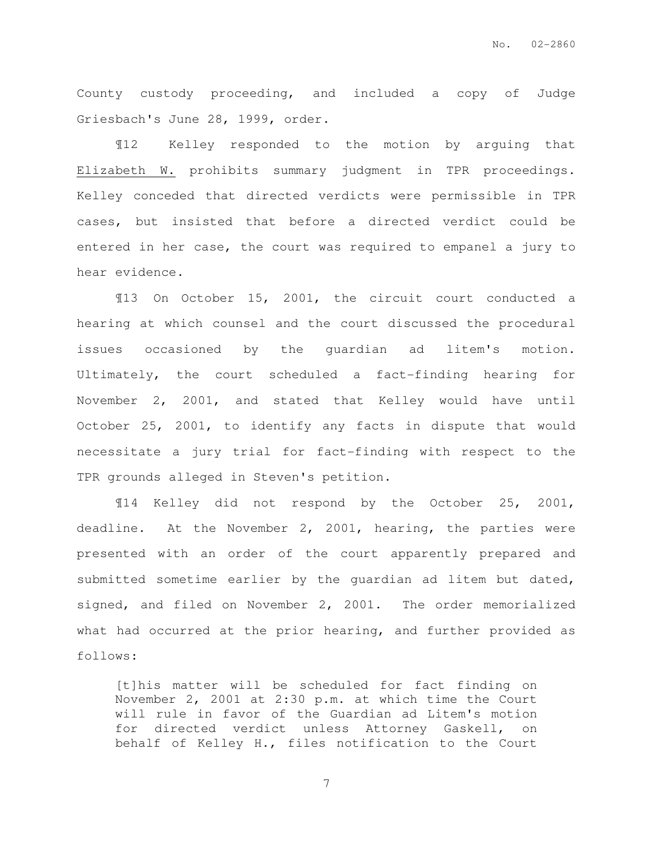County custody proceeding, and included a copy of Judge Griesbach's June 28, 1999, order.

¶12 Kelley responded to the motion by arguing that Elizabeth W. prohibits summary judgment in TPR proceedings. Kelley conceded that directed verdicts were permissible in TPR cases, but insisted that before a directed verdict could be entered in her case, the court was required to empanel a jury to hear evidence.

¶13 On October 15, 2001, the circuit court conducted a hearing at which counsel and the court discussed the procedural issues occasioned by the guardian ad litem's motion. Ultimately, the court scheduled a fact-finding hearing for November 2, 2001, and stated that Kelley would have until October 25, 2001, to identify any facts in dispute that would necessitate a jury trial for fact-finding with respect to the TPR grounds alleged in Steven's petition.

¶14 Kelley did not respond by the October 25, 2001, deadline. At the November 2, 2001, hearing, the parties were presented with an order of the court apparently prepared and submitted sometime earlier by the guardian ad litem but dated, signed, and filed on November 2, 2001. The order memorialized what had occurred at the prior hearing, and further provided as follows:

[t]his matter will be scheduled for fact finding on November 2, 2001 at 2:30 p.m. at which time the Court will rule in favor of the Guardian ad Litem's motion for directed verdict unless Attorney Gaskell, on behalf of Kelley H., files notification to the Court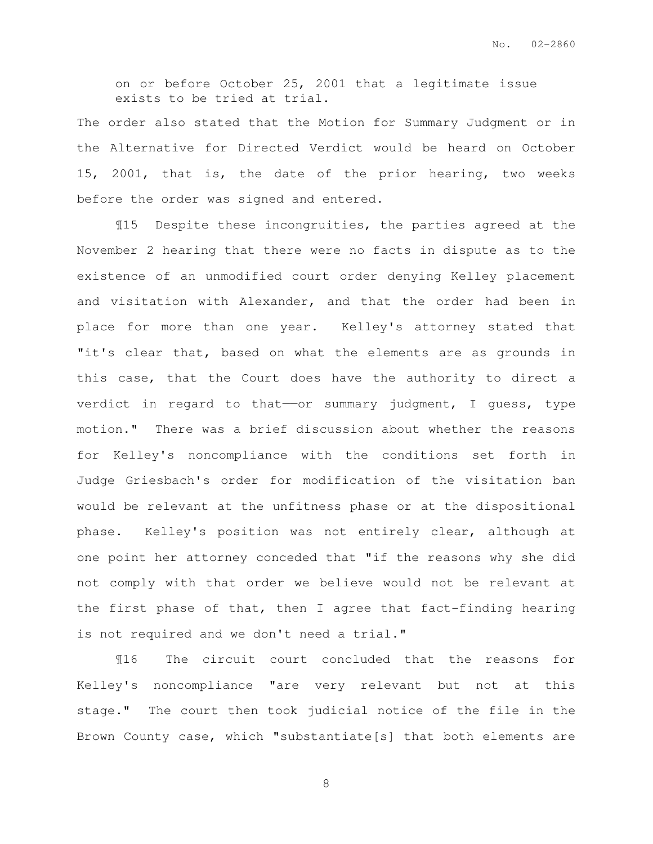on or before October 25, 2001 that a legitimate issue exists to be tried at trial.

The order also stated that the Motion for Summary Judgment or in the Alternative for Directed Verdict would be heard on October 15, 2001, that is, the date of the prior hearing, two weeks before the order was signed and entered.

¶15 Despite these incongruities, the parties agreed at the November 2 hearing that there were no facts in dispute as to the existence of an unmodified court order denying Kelley placement and visitation with Alexander, and that the order had been in place for more than one year. Kelley's attorney stated that "it's clear that, based on what the elements are as grounds in this case, that the Court does have the authority to direct a verdict in regard to that--or summary judgment, I guess, type motion." There was a brief discussion about whether the reasons for Kelley's noncompliance with the conditions set forth in Judge Griesbach's order for modification of the visitation ban would be relevant at the unfitness phase or at the dispositional phase. Kelley's position was not entirely clear, although at one point her attorney conceded that "if the reasons why she did not comply with that order we believe would not be relevant at the first phase of that, then I agree that fact-finding hearing is not required and we don't need a trial."

¶16 The circuit court concluded that the reasons for Kelley's noncompliance "are very relevant but not at this stage." The court then took judicial notice of the file in the Brown County case, which "substantiate[s] that both elements are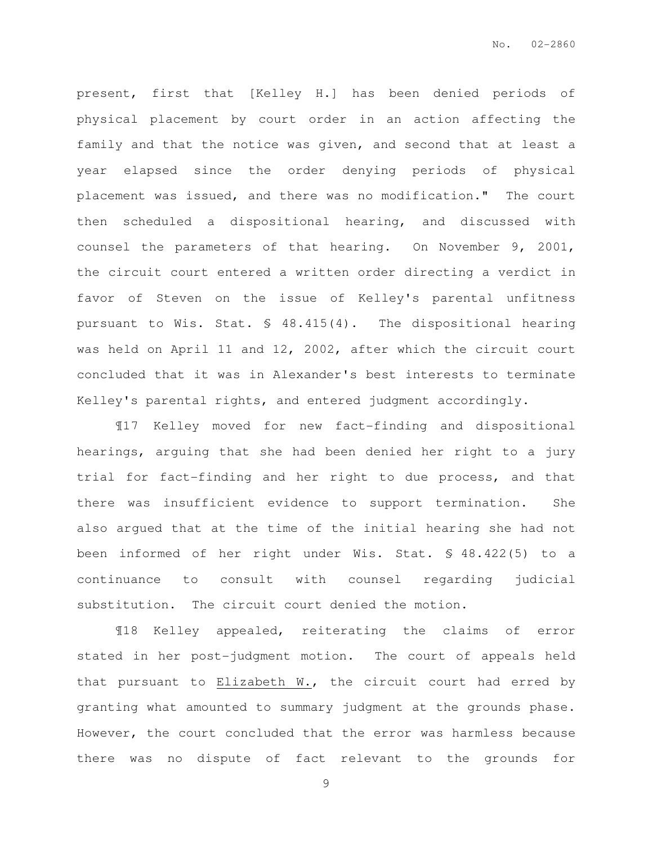present, first that [Kelley H.] has been denied periods of physical placement by court order in an action affecting the family and that the notice was given, and second that at least a year elapsed since the order denying periods of physical placement was issued, and there was no modification." The court then scheduled a dispositional hearing, and discussed with counsel the parameters of that hearing. On November 9, 2001, the circuit court entered a written order directing a verdict in favor of Steven on the issue of Kelley's parental unfitness pursuant to Wis. Stat. § 48.415(4). The dispositional hearing was held on April 11 and 12, 2002, after which the circuit court concluded that it was in Alexander's best interests to terminate Kelley's parental rights, and entered judgment accordingly.

¶17 Kelley moved for new fact-finding and dispositional hearings, arguing that she had been denied her right to a jury trial for fact-finding and her right to due process, and that there was insufficient evidence to support termination. She also argued that at the time of the initial hearing she had not been informed of her right under Wis. Stat. § 48.422(5) to a continuance to consult with counsel regarding judicial substitution. The circuit court denied the motion.

¶18 Kelley appealed, reiterating the claims of error stated in her post-judgment motion. The court of appeals held that pursuant to Elizabeth W., the circuit court had erred by granting what amounted to summary judgment at the grounds phase. However, the court concluded that the error was harmless because there was no dispute of fact relevant to the grounds for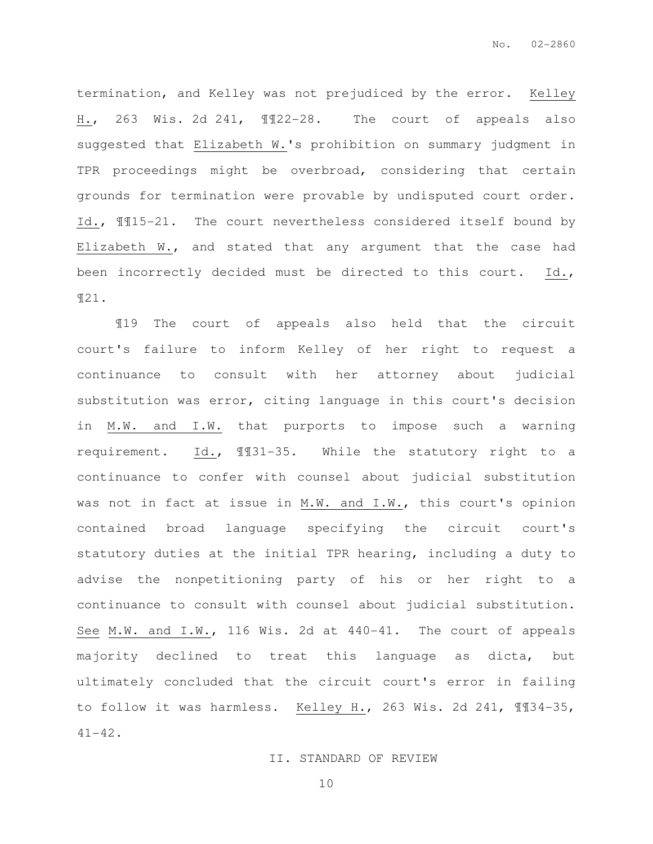termination, and Kelley was not prejudiced by the error. Kelley H., 263 Wis. 2d 241, ¶¶22-28. The court of appeals also suggested that Elizabeth W.'s prohibition on summary judgment in TPR proceedings might be overbroad, considering that certain grounds for termination were provable by undisputed court order. Id., ¶¶15-21. The court nevertheless considered itself bound by Elizabeth W., and stated that any argument that the case had been incorrectly decided must be directed to this court. Id., ¶21.

¶19 The court of appeals also held that the circuit court's failure to inform Kelley of her right to request a continuance to consult with her attorney about judicial substitution was error, citing language in this court's decision in M.W. and I.W. that purports to impose such a warning requirement. Id., ¶¶31-35. While the statutory right to a continuance to confer with counsel about judicial substitution was not in fact at issue in M.W. and I.W., this court's opinion contained broad language specifying the circuit court's statutory duties at the initial TPR hearing, including a duty to advise the nonpetitioning party of his or her right to a continuance to consult with counsel about judicial substitution. See M.W. and I.W., 116 Wis. 2d at 440-41. The court of appeals majority declined to treat this language as dicta, but ultimately concluded that the circuit court's error in failing to follow it was harmless. Kelley H., 263 Wis. 2d 241, ¶¶34-35, 41-42.

II. STANDARD OF REVIEW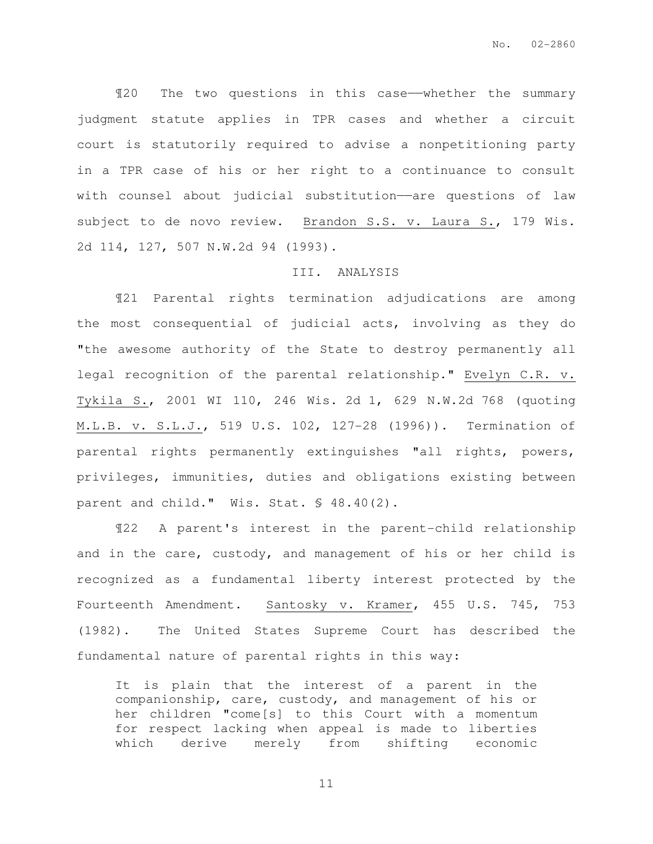¶20 The two questions in this case——whether the summary judgment statute applies in TPR cases and whether a circuit court is statutorily required to advise a nonpetitioning party in a TPR case of his or her right to a continuance to consult with counsel about judicial substitution-are questions of law subject to de novo review. Brandon S.S. v. Laura S., 179 Wis. 2d 114, 127, 507 N.W.2d 94 (1993).

#### III. ANALYSIS

¶21 Parental rights termination adjudications are among the most consequential of judicial acts, involving as they do "the awesome authority of the State to destroy permanently all legal recognition of the parental relationship." Evelyn C.R. v. Tykila S., 2001 WI 110, 246 Wis. 2d 1, 629 N.W.2d 768 (quoting M.L.B. v. S.L.J., 519 U.S. 102, 127-28 (1996)). Termination of parental rights permanently extinguishes "all rights, powers, privileges, immunities, duties and obligations existing between parent and child." Wis. Stat. § 48.40(2).

¶22 A parent's interest in the parent-child relationship and in the care, custody, and management of his or her child is recognized as a fundamental liberty interest protected by the Fourteenth Amendment. Santosky v. Kramer, 455 U.S. 745, 753 (1982). The United States Supreme Court has described the fundamental nature of parental rights in this way:

It is plain that the interest of a parent in the companionship, care, custody, and management of his or her children "come[s] to this Court with a momentum for respect lacking when appeal is made to liberties which derive merely from shifting economic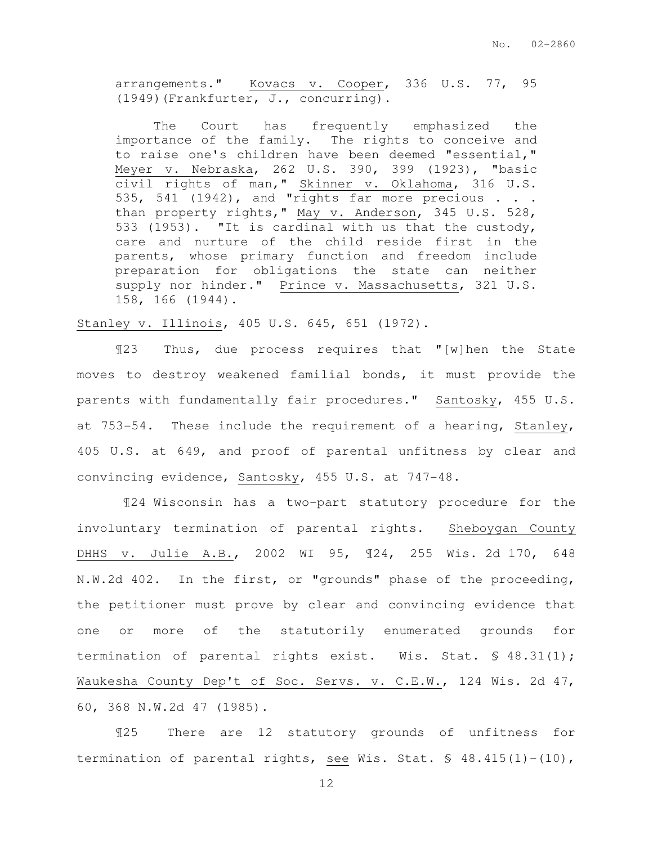arrangements." Kovacs v. Cooper, 336 U.S. 77, 95 (1949)(Frankfurter, J., concurring).

 The Court has frequently emphasized the importance of the family. The rights to conceive and to raise one's children have been deemed "essential," Meyer v. Nebraska, 262 U.S. 390, 399 (1923), "basic civil rights of man," Skinner v. Oklahoma, 316 U.S. 535, 541 (1942), and "rights far more precious  $\ldots$ than property rights," May v. Anderson, 345 U.S. 528, 533 (1953). "It is cardinal with us that the custody, care and nurture of the child reside first in the parents, whose primary function and freedom include preparation for obligations the state can neither supply nor hinder." Prince v. Massachusetts, 321 U.S. 158, 166 (1944).

Stanley v. Illinois, 405 U.S. 645, 651 (1972).

¶23 Thus, due process requires that "[w]hen the State moves to destroy weakened familial bonds, it must provide the parents with fundamentally fair procedures." Santosky, 455 U.S. at 753-54. These include the requirement of a hearing, Stanley, 405 U.S. at 649, and proof of parental unfitness by clear and convincing evidence, Santosky, 455 U.S. at 747-48.

 ¶24 Wisconsin has a two-part statutory procedure for the involuntary termination of parental rights. Sheboygan County DHHS v. Julie A.B., 2002 WI 95, ¶24, 255 Wis. 2d 170, 648 N.W.2d 402. In the first, or "grounds" phase of the proceeding, the petitioner must prove by clear and convincing evidence that one or more of the statutorily enumerated grounds for termination of parental rights exist. Wis. Stat. § 48.31(1); Waukesha County Dep't of Soc. Servs. v. C.E.W., 124 Wis. 2d 47, 60, 368 N.W.2d 47 (1985).

¶25 There are 12 statutory grounds of unfitness for termination of parental rights, see Wis. Stat. § 48.415(1)-(10),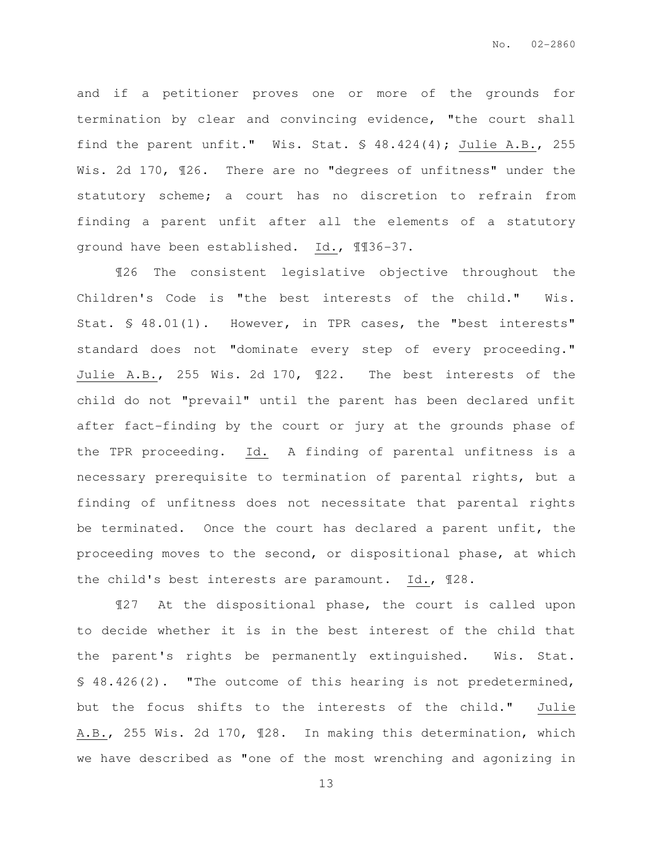and if a petitioner proves one or more of the grounds for termination by clear and convincing evidence, "the court shall find the parent unfit." Wis. Stat. § 48.424(4); Julie A.B., 255 Wis. 2d 170, 126. There are no "degrees of unfitness" under the statutory scheme; a court has no discretion to refrain from finding a parent unfit after all the elements of a statutory ground have been established. Id., ¶¶36-37.

¶26 The consistent legislative objective throughout the Children's Code is "the best interests of the child." Wis. Stat. § 48.01(1). However, in TPR cases, the "best interests" standard does not "dominate every step of every proceeding." Julie A.B., 255 Wis. 2d 170, ¶22. The best interests of the child do not "prevail" until the parent has been declared unfit after fact-finding by the court or jury at the grounds phase of the TPR proceeding. Id. A finding of parental unfitness is a necessary prerequisite to termination of parental rights, but a finding of unfitness does not necessitate that parental rights be terminated. Once the court has declared a parent unfit, the proceeding moves to the second, or dispositional phase, at which the child's best interests are paramount. Id., ¶28.

¶27 At the dispositional phase, the court is called upon to decide whether it is in the best interest of the child that the parent's rights be permanently extinguished. Wis. Stat. § 48.426(2). "The outcome of this hearing is not predetermined, but the focus shifts to the interests of the child." Julie A.B., 255 Wis. 2d 170, ¶28. In making this determination, which we have described as "one of the most wrenching and agonizing in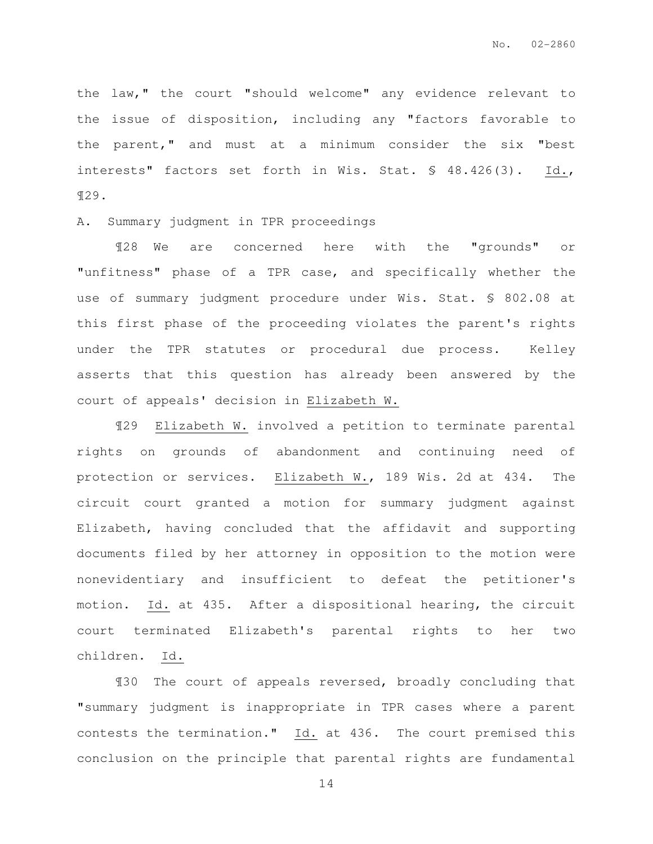the law," the court "should welcome" any evidence relevant to the issue of disposition, including any "factors favorable to the parent," and must at a minimum consider the six "best interests" factors set forth in Wis. Stat. § 48.426(3). Id., ¶29.

A. Summary judgment in TPR proceedings

 ¶28 We are concerned here with the "grounds" or "unfitness" phase of a TPR case, and specifically whether the use of summary judgment procedure under Wis. Stat. § 802.08 at this first phase of the proceeding violates the parent's rights under the TPR statutes or procedural due process. Kelley asserts that this question has already been answered by the court of appeals' decision in Elizabeth W.

¶29 Elizabeth W. involved a petition to terminate parental rights on grounds of abandonment and continuing need of protection or services. Elizabeth W., 189 Wis. 2d at 434. The circuit court granted a motion for summary judgment against Elizabeth, having concluded that the affidavit and supporting documents filed by her attorney in opposition to the motion were nonevidentiary and insufficient to defeat the petitioner's motion. Id. at 435. After a dispositional hearing, the circuit court terminated Elizabeth's parental rights to her two children. Id.

¶30 The court of appeals reversed, broadly concluding that "summary judgment is inappropriate in TPR cases where a parent contests the termination." Id. at 436. The court premised this conclusion on the principle that parental rights are fundamental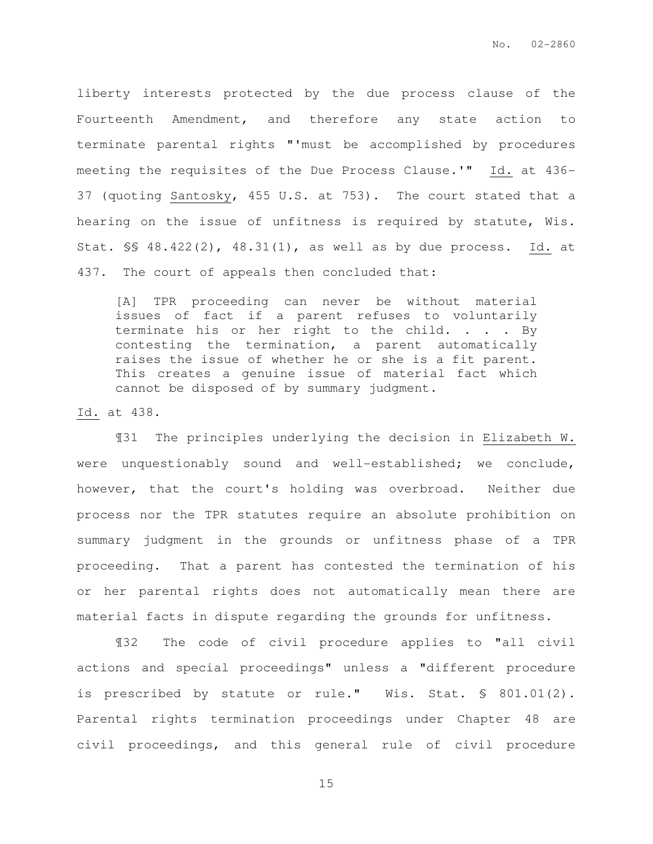liberty interests protected by the due process clause of the Fourteenth Amendment, and therefore any state action to terminate parental rights "'must be accomplished by procedures meeting the requisites of the Due Process Clause.'" Id. at 436- 37 (quoting Santosky, 455 U.S. at 753). The court stated that a hearing on the issue of unfitness is required by statute, Wis. Stat. §§ 48.422(2), 48.31(1), as well as by due process. Id. at 437. The court of appeals then concluded that:

[A] TPR proceeding can never be without material issues of fact if a parent refuses to voluntarily terminate his or her right to the child. . . . By contesting the termination, a parent automatically raises the issue of whether he or she is a fit parent. This creates a genuine issue of material fact which cannot be disposed of by summary judgment.

Id. at 438.

 ¶31 The principles underlying the decision in Elizabeth W. were unquestionably sound and well-established; we conclude, however, that the court's holding was overbroad. Neither due process nor the TPR statutes require an absolute prohibition on summary judgment in the grounds or unfitness phase of a TPR proceeding. That a parent has contested the termination of his or her parental rights does not automatically mean there are material facts in dispute regarding the grounds for unfitness.

 ¶32 The code of civil procedure applies to "all civil actions and special proceedings" unless a "different procedure is prescribed by statute or rule." Wis. Stat. § 801.01(2). Parental rights termination proceedings under Chapter 48 are civil proceedings, and this general rule of civil procedure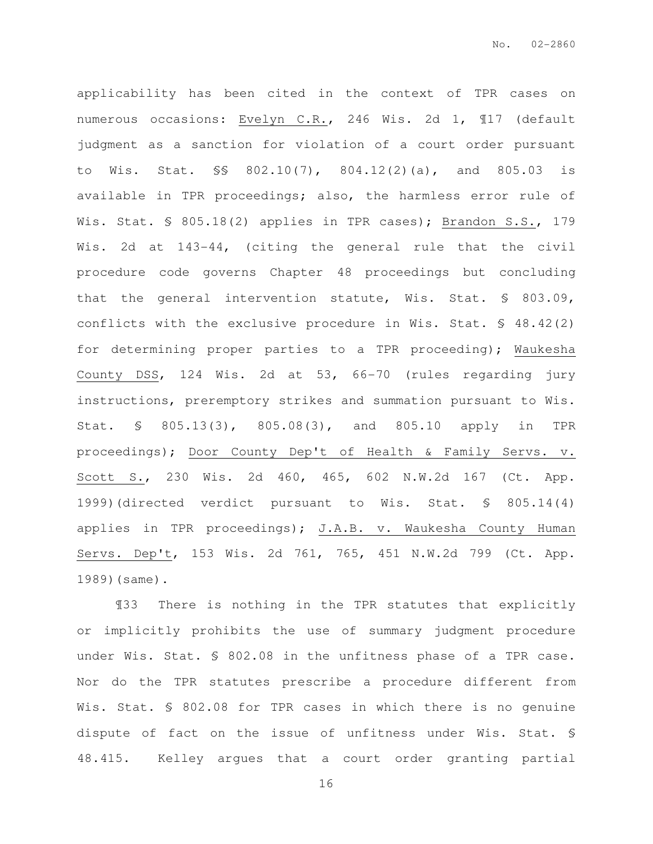applicability has been cited in the context of TPR cases on numerous occasions: Evelyn C.R., 246 Wis. 2d 1, ¶17 (default judgment as a sanction for violation of a court order pursuant to Wis. Stat. §§ 802.10(7), 804.12(2)(a), and 805.03 is available in TPR proceedings; also, the harmless error rule of Wis. Stat. § 805.18(2) applies in TPR cases); Brandon S.S., 179 Wis. 2d at 143-44, (citing the general rule that the civil procedure code governs Chapter 48 proceedings but concluding that the general intervention statute, Wis. Stat. § 803.09, conflicts with the exclusive procedure in Wis. Stat.  $\frac{6}{5}$  48.42(2) for determining proper parties to a TPR proceeding); Waukesha County DSS, 124 Wis. 2d at 53, 66-70 (rules regarding jury instructions, preremptory strikes and summation pursuant to Wis. Stat. § 805.13(3), 805.08(3), and 805.10 apply in TPR proceedings); Door County Dep't of Health & Family Servs. v. Scott S., 230 Wis. 2d 460, 465, 602 N.W.2d 167 (Ct. App. 1999)(directed verdict pursuant to Wis. Stat. § 805.14(4) applies in TPR proceedings); J.A.B. v. Waukesha County Human Servs. Dep't, 153 Wis. 2d 761, 765, 451 N.W.2d 799 (Ct. App. 1989)(same).

 ¶33 There is nothing in the TPR statutes that explicitly or implicitly prohibits the use of summary judgment procedure under Wis. Stat. § 802.08 in the unfitness phase of a TPR case. Nor do the TPR statutes prescribe a procedure different from Wis. Stat. § 802.08 for TPR cases in which there is no genuine dispute of fact on the issue of unfitness under Wis. Stat. § 48.415. Kelley argues that a court order granting partial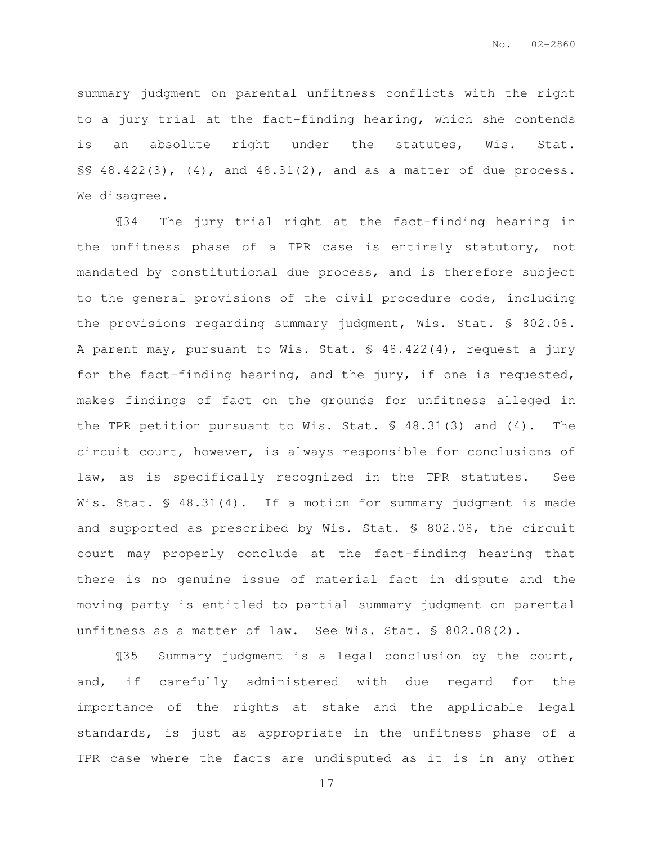summary judgment on parental unfitness conflicts with the right to a jury trial at the fact-finding hearing, which she contends is an absolute right under the statutes, Wis. Stat. §§ 48.422(3), (4), and 48.31(2), and as a matter of due process. We disagree.

 ¶34 The jury trial right at the fact-finding hearing in the unfitness phase of a TPR case is entirely statutory, not mandated by constitutional due process, and is therefore subject to the general provisions of the civil procedure code, including the provisions regarding summary judgment, Wis. Stat. § 802.08. A parent may, pursuant to Wis. Stat. § 48.422(4), request a jury for the fact-finding hearing, and the jury, if one is requested, makes findings of fact on the grounds for unfitness alleged in the TPR petition pursuant to Wis. Stat. § 48.31(3) and (4). The circuit court, however, is always responsible for conclusions of law, as is specifically recognized in the TPR statutes. See Wis. Stat. § 48.31(4). If a motion for summary judgment is made and supported as prescribed by Wis. Stat. § 802.08, the circuit court may properly conclude at the fact-finding hearing that there is no genuine issue of material fact in dispute and the moving party is entitled to partial summary judgment on parental unfitness as a matter of law. See Wis. Stat. § 802.08(2).

 ¶35 Summary judgment is a legal conclusion by the court, and, if carefully administered with due regard for the importance of the rights at stake and the applicable legal standards, is just as appropriate in the unfitness phase of a TPR case where the facts are undisputed as it is in any other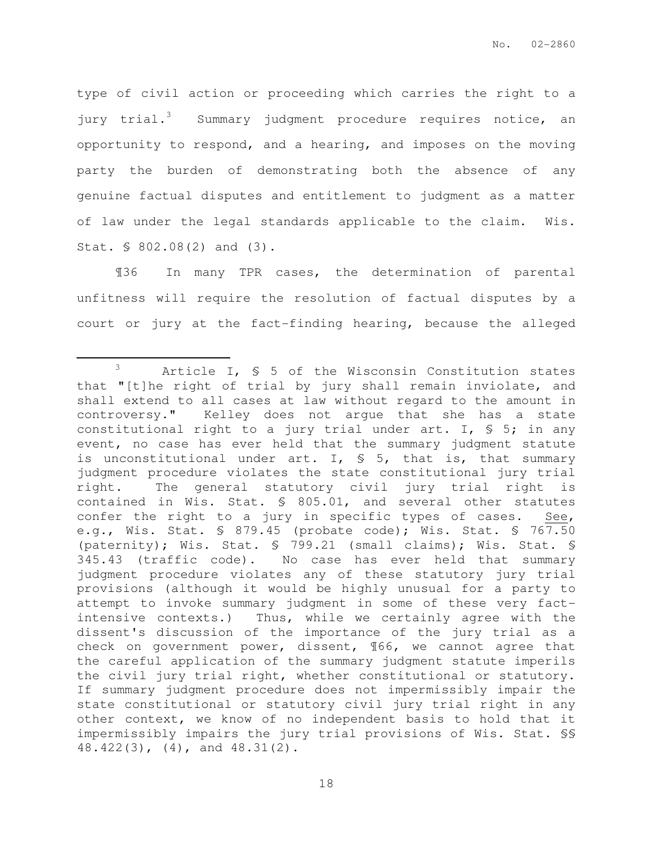type of civil action or proceeding which carries the right to a jury trial.<sup>3</sup> Summary judgment procedure requires notice, an opportunity to respond, and a hearing, and imposes on the moving party the burden of demonstrating both the absence of any genuine factual disputes and entitlement to judgment as a matter of law under the legal standards applicable to the claim. Wis. Stat. § 802.08(2) and (3).

¶36 In many TPR cases, the determination of parental unfitness will require the resolution of factual disputes by a court or jury at the fact-finding hearing, because the alleged

 $\overline{a}$ 

<sup>3</sup> Article I, § 5 of the Wisconsin Constitution states that "[t]he right of trial by jury shall remain inviolate, and shall extend to all cases at law without regard to the amount in controversy." Kelley does not argue that she has a state constitutional right to a jury trial under art. I,  $S$  5; in any event, no case has ever held that the summary judgment statute is unconstitutional under art. I,  $\frac{1}{5}$  5, that is, that summary judgment procedure violates the state constitutional jury trial right. The general statutory civil jury trial right is contained in Wis. Stat. § 805.01, and several other statutes confer the right to a jury in specific types of cases. See, e.g., Wis. Stat. § 879.45 (probate code); Wis. Stat. § 767.50 (paternity); Wis. Stat. § 799.21 (small claims); Wis. Stat. § 345.43 (traffic code). No case has ever held that summary judgment procedure violates any of these statutory jury trial provisions (although it would be highly unusual for a party to attempt to invoke summary judgment in some of these very factintensive contexts.) Thus, while we certainly agree with the dissent's discussion of the importance of the jury trial as a check on government power, dissent, ¶66, we cannot agree that the careful application of the summary judgment statute imperils the civil jury trial right, whether constitutional or statutory. If summary judgment procedure does not impermissibly impair the state constitutional or statutory civil jury trial right in any other context, we know of no independent basis to hold that it impermissibly impairs the jury trial provisions of Wis. Stat. §§ 48.422(3), (4), and 48.31(2).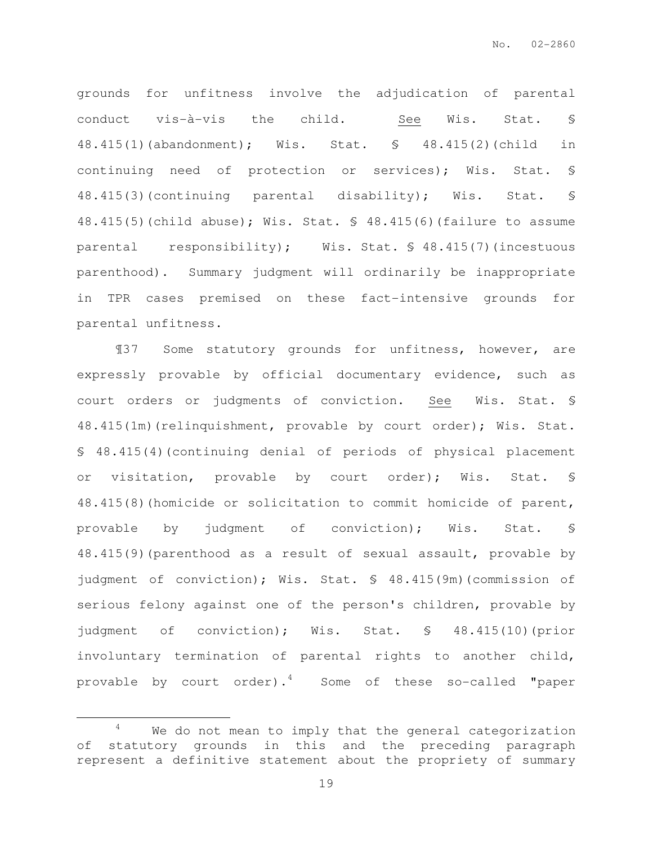grounds for unfitness involve the adjudication of parental conduct vis-à-vis the child. See Wis. Stat. § 48.415(1)(abandonment); Wis. Stat. § 48.415(2)(child in continuing need of protection or services); Wis. Stat. § 48.415(3)(continuing parental disability); Wis. Stat. § 48.415(5)(child abuse); Wis. Stat. § 48.415(6)(failure to assume parental responsibility); Wis. Stat. § 48.415(7)(incestuous parenthood). Summary judgment will ordinarily be inappropriate in TPR cases premised on these fact-intensive grounds for parental unfitness.

¶37 Some statutory grounds for unfitness, however, are expressly provable by official documentary evidence, such as court orders or judgments of conviction. See Wis. Stat. § 48.415(1m)(relinquishment, provable by court order); Wis. Stat. § 48.415(4)(continuing denial of periods of physical placement or visitation, provable by court order); Wis. Stat. § 48.415(8)(homicide or solicitation to commit homicide of parent, provable by judgment of conviction); Wis. Stat. § 48.415(9)(parenthood as a result of sexual assault, provable by judgment of conviction); Wis. Stat. § 48.415(9m)(commission of serious felony against one of the person's children, provable by judgment of conviction); Wis. Stat. § 48.415(10)(prior involuntary termination of parental rights to another child, provable by court order).<sup>4</sup> Some of these so-called "paper

 $\overline{a}$ 

 $4$  We do not mean to imply that the general categorization of statutory grounds in this and the preceding paragraph represent a definitive statement about the propriety of summary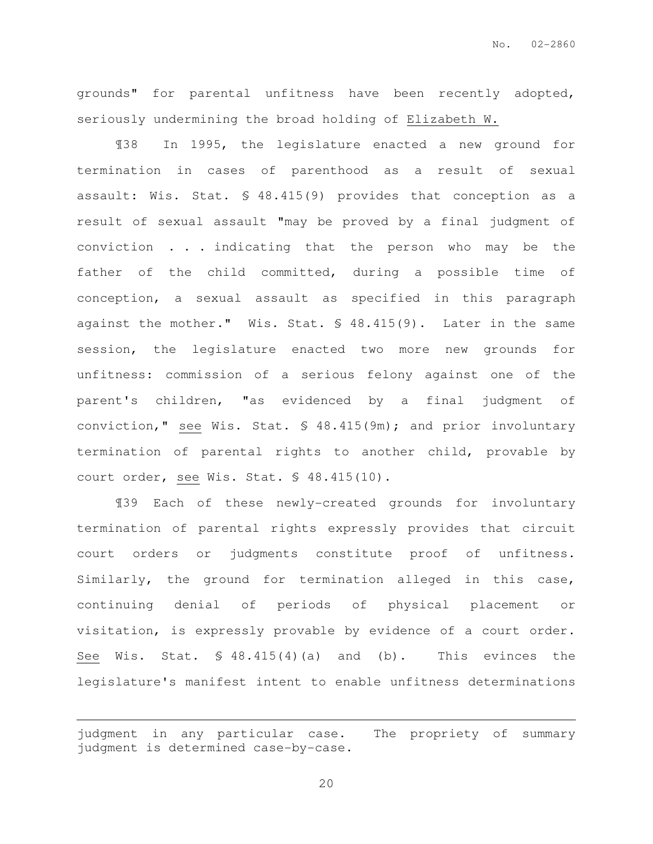grounds" for parental unfitness have been recently adopted, seriously undermining the broad holding of Elizabeth W.

¶38 In 1995, the legislature enacted a new ground for termination in cases of parenthood as a result of sexual assault: Wis. Stat. § 48.415(9) provides that conception as a result of sexual assault "may be proved by a final judgment of conviction . . . indicating that the person who may be the father of the child committed, during a possible time of conception, a sexual assault as specified in this paragraph against the mother." Wis. Stat. § 48.415(9). Later in the same session, the legislature enacted two more new grounds for unfitness: commission of a serious felony against one of the parent's children, "as evidenced by a final judgment of conviction," see Wis. Stat. § 48.415(9m); and prior involuntary termination of parental rights to another child, provable by court order, see Wis. Stat. § 48.415(10).

 ¶39 Each of these newly-created grounds for involuntary termination of parental rights expressly provides that circuit court orders or judgments constitute proof of unfitness. Similarly, the ground for termination alleged in this case, continuing denial of periods of physical placement or visitation, is expressly provable by evidence of a court order. See Wis. Stat. § 48.415(4)(a) and (b). This evinces the legislature's manifest intent to enable unfitness determinations

 $\overline{a}$ 

judgment in any particular case. The propriety of summary judgment is determined case-by-case.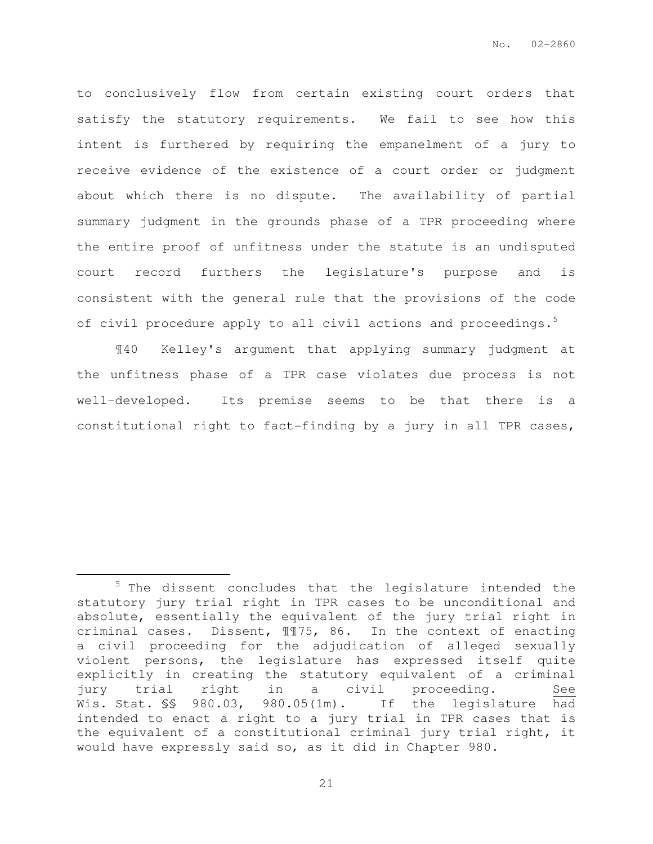to conclusively flow from certain existing court orders that satisfy the statutory requirements. We fail to see how this intent is furthered by requiring the empanelment of a jury to receive evidence of the existence of a court order or judgment about which there is no dispute. The availability of partial summary judgment in the grounds phase of a TPR proceeding where the entire proof of unfitness under the statute is an undisputed court record furthers the legislature's purpose and is consistent with the general rule that the provisions of the code of civil procedure apply to all civil actions and proceedings.<sup>5</sup>

 ¶40 Kelley's argument that applying summary judgment at the unfitness phase of a TPR case violates due process is not well-developed. Its premise seems to be that there is a constitutional right to fact-finding by a jury in all TPR cases,

 $\overline{a}$ 

 $5$  The dissent concludes that the legislature intended the statutory jury trial right in TPR cases to be unconditional and absolute, essentially the equivalent of the jury trial right in criminal cases. Dissent, ¶¶75, 86. In the context of enacting a civil proceeding for the adjudication of alleged sexually violent persons, the legislature has expressed itself quite explicitly in creating the statutory equivalent of a criminal jury trial right in a civil proceeding. See Wis. Stat. §§ 980.03, 980.05(1m). If the legislature had intended to enact a right to a jury trial in TPR cases that is the equivalent of a constitutional criminal jury trial right, it would have expressly said so, as it did in Chapter 980.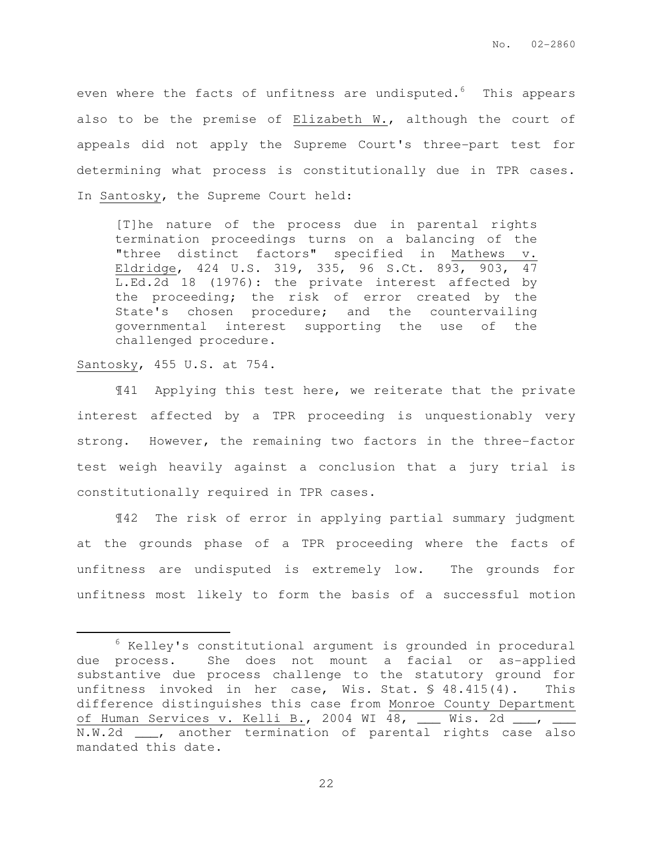even where the facts of unfitness are undisputed. $6$  This appears also to be the premise of Elizabeth W., although the court of appeals did not apply the Supreme Court's three-part test for determining what process is constitutionally due in TPR cases. In Santosky, the Supreme Court held:

[T]he nature of the process due in parental rights termination proceedings turns on a balancing of the "three distinct factors" specified in Mathews v. Eldridge, 424 U.S. 319, 335, 96 S.Ct. 893, 903, 47 L.Ed.2d 18 (1976): the private interest affected by the proceeding; the risk of error created by the State's chosen procedure; and the countervailing governmental interest supporting the use of the challenged procedure.

### Santosky, 455 U.S. at 754.

 $\overline{a}$ 

 ¶41 Applying this test here, we reiterate that the private interest affected by a TPR proceeding is unquestionably very strong. However, the remaining two factors in the three-factor test weigh heavily against a conclusion that a jury trial is constitutionally required in TPR cases.

¶42 The risk of error in applying partial summary judgment at the grounds phase of a TPR proceeding where the facts of unfitness are undisputed is extremely low. The grounds for unfitness most likely to form the basis of a successful motion

 $6$  Kelley's constitutional argument is grounded in procedural due process. She does not mount a facial or as-applied substantive due process challenge to the statutory ground for unfitness invoked in her case, Wis. Stat. § 48.415(4). This difference distinguishes this case from Monroe County Department of Human Services v. Kelli B., 2004 WI 48, \_\_\_ Wis. 2d \_\_\_, \_\_\_ N.W.2d \_\_\_, another termination of parental rights case also mandated this date.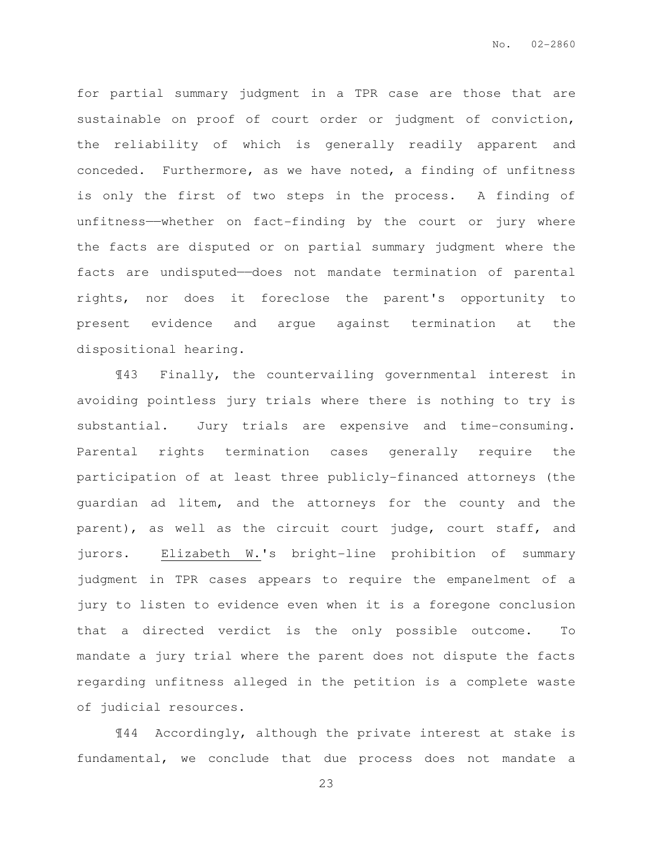for partial summary judgment in a TPR case are those that are sustainable on proof of court order or judgment of conviction, the reliability of which is generally readily apparent and conceded. Furthermore, as we have noted, a finding of unfitness is only the first of two steps in the process. A finding of unfitness——whether on fact-finding by the court or jury where the facts are disputed or on partial summary judgment where the facts are undisputed—does not mandate termination of parental rights, nor does it foreclose the parent's opportunity to present evidence and argue against termination at the dispositional hearing.

¶43 Finally, the countervailing governmental interest in avoiding pointless jury trials where there is nothing to try is substantial. Jury trials are expensive and time-consuming. Parental rights termination cases generally require the participation of at least three publicly-financed attorneys (the guardian ad litem, and the attorneys for the county and the parent), as well as the circuit court judge, court staff, and jurors. Elizabeth W.'s bright-line prohibition of summary judgment in TPR cases appears to require the empanelment of a jury to listen to evidence even when it is a foregone conclusion that a directed verdict is the only possible outcome. To mandate a jury trial where the parent does not dispute the facts regarding unfitness alleged in the petition is a complete waste of judicial resources.

¶44 Accordingly, although the private interest at stake is fundamental, we conclude that due process does not mandate a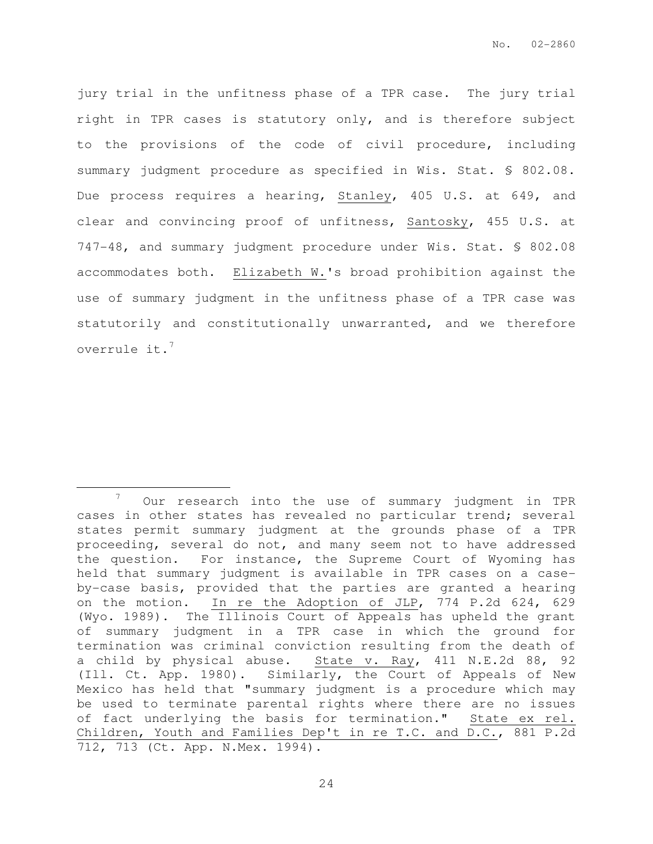jury trial in the unfitness phase of a TPR case. The jury trial right in TPR cases is statutory only, and is therefore subject to the provisions of the code of civil procedure, including summary judgment procedure as specified in Wis. Stat. § 802.08. Due process requires a hearing, Stanley, 405 U.S. at 649, and clear and convincing proof of unfitness, Santosky, 455 U.S. at 747-48, and summary judgment procedure under Wis. Stat. § 802.08 accommodates both. Elizabeth W.'s broad prohibition against the use of summary judgment in the unfitness phase of a TPR case was statutorily and constitutionally unwarranted, and we therefore overrule it.<sup>7</sup>

 $\overline{a}$ 

 $7$  Our research into the use of summary judgment in TPR cases in other states has revealed no particular trend; several states permit summary judgment at the grounds phase of a TPR proceeding, several do not, and many seem not to have addressed the question. For instance, the Supreme Court of Wyoming has held that summary judgment is available in TPR cases on a caseby-case basis, provided that the parties are granted a hearing on the motion. In re the Adoption of JLP, 774 P.2d 624, 629 (Wyo. 1989). The Illinois Court of Appeals has upheld the grant of summary judgment in a TPR case in which the ground for termination was criminal conviction resulting from the death of a child by physical abuse. State v. Ray, 411 N.E.2d 88, 92 (Ill. Ct. App. 1980). Similarly, the Court of Appeals of New Mexico has held that "summary judgment is a procedure which may be used to terminate parental rights where there are no issues of fact underlying the basis for termination." State ex rel. Children, Youth and Families Dep't in re T.C. and D.C., 881 P.2d 712, 713 (Ct. App. N.Mex. 1994).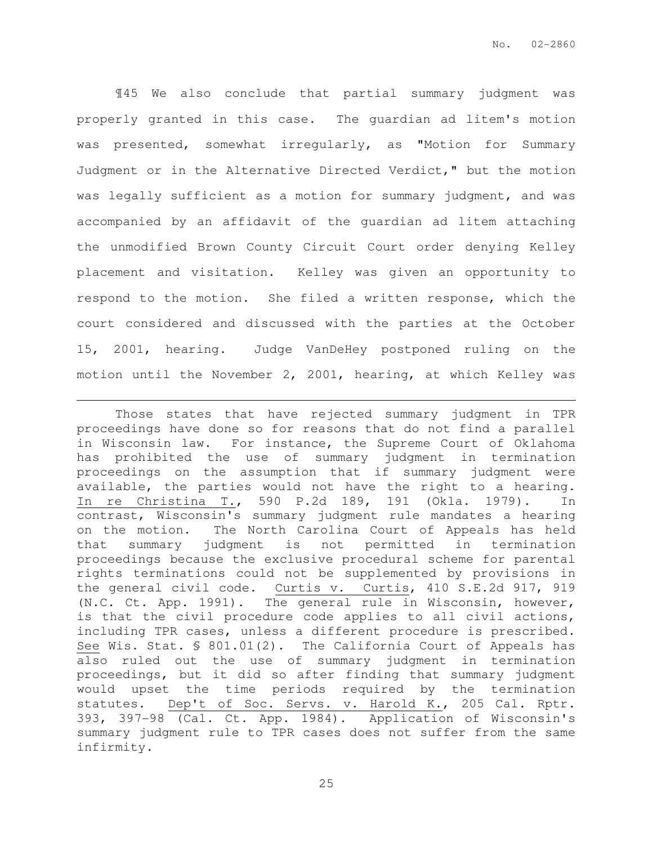¶45 We also conclude that partial summary judgment was properly granted in this case. The guardian ad litem's motion was presented, somewhat irregularly, as "Motion for Summary Judgment or in the Alternative Directed Verdict," but the motion was legally sufficient as a motion for summary judgment, and was accompanied by an affidavit of the guardian ad litem attaching the unmodified Brown County Circuit Court order denying Kelley placement and visitation. Kelley was given an opportunity to respond to the motion. She filed a written response, which the court considered and discussed with the parties at the October 15, 2001, hearing. Judge VanDeHey postponed ruling on the motion until the November 2, 2001, hearing, at which Kelley was

 $\overline{a}$ 

Those states that have rejected summary judgment in TPR proceedings have done so for reasons that do not find a parallel in Wisconsin law. For instance, the Supreme Court of Oklahoma has prohibited the use of summary judgment in termination proceedings on the assumption that if summary judgment were available, the parties would not have the right to a hearing. In re Christina T., 590 P.2d 189, 191 (Okla. 1979). In contrast, Wisconsin's summary judgment rule mandates a hearing on the motion. The North Carolina Court of Appeals has held that summary judgment is not permitted in termination proceedings because the exclusive procedural scheme for parental rights terminations could not be supplemented by provisions in the general civil code. Curtis v. Curtis, 410 S.E.2d 917, 919 (N.C. Ct. App. 1991). The general rule in Wisconsin, however, is that the civil procedure code applies to all civil actions, including TPR cases, unless a different procedure is prescribed. See Wis. Stat. § 801.01(2). The California Court of Appeals has also ruled out the use of summary judgment in termination proceedings, but it did so after finding that summary judgment would upset the time periods required by the termination statutes. Dep't of Soc. Servs. v. Harold K., 205 Cal. Rptr. 393, 397-98 (Cal. Ct. App. 1984). Application of Wisconsin's summary judgment rule to TPR cases does not suffer from the same infirmity.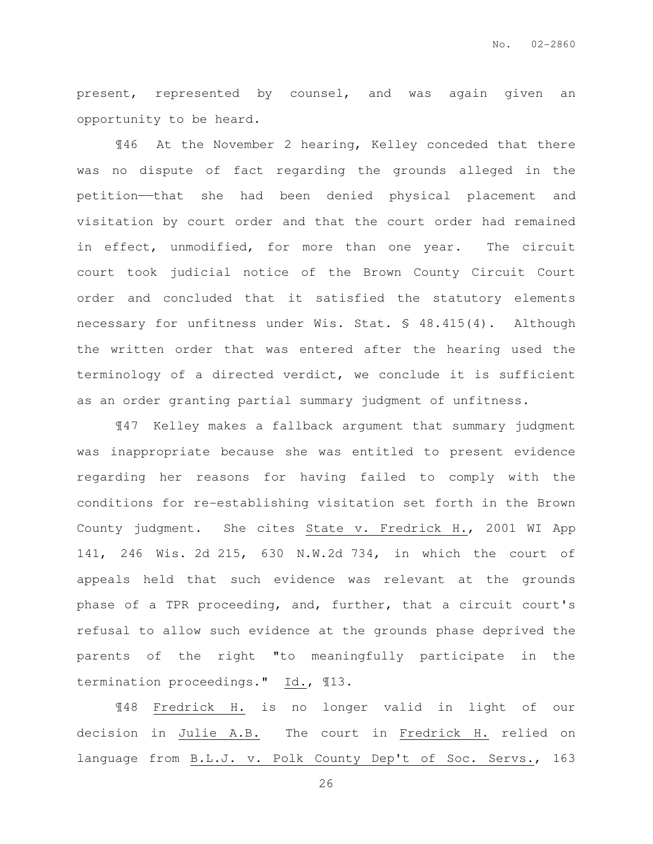present, represented by counsel, and was again given an opportunity to be heard.

¶46 At the November 2 hearing, Kelley conceded that there was no dispute of fact regarding the grounds alleged in the petition——that she had been denied physical placement and visitation by court order and that the court order had remained in effect, unmodified, for more than one year. The circuit court took judicial notice of the Brown County Circuit Court order and concluded that it satisfied the statutory elements necessary for unfitness under Wis. Stat. § 48.415(4). Although the written order that was entered after the hearing used the terminology of a directed verdict, we conclude it is sufficient as an order granting partial summary judgment of unfitness.

¶47 Kelley makes a fallback argument that summary judgment was inappropriate because she was entitled to present evidence regarding her reasons for having failed to comply with the conditions for re-establishing visitation set forth in the Brown County judgment. She cites State v. Fredrick H., 2001 WI App 141, 246 Wis. 2d 215, 630 N.W.2d 734, in which the court of appeals held that such evidence was relevant at the grounds phase of a TPR proceeding, and, further, that a circuit court's refusal to allow such evidence at the grounds phase deprived the parents of the right "to meaningfully participate in the termination proceedings." Id., ¶13.

¶48 Fredrick H. is no longer valid in light of our decision in Julie A.B. The court in Fredrick H. relied on language from B.L.J. v. Polk County Dep't of Soc. Servs., 163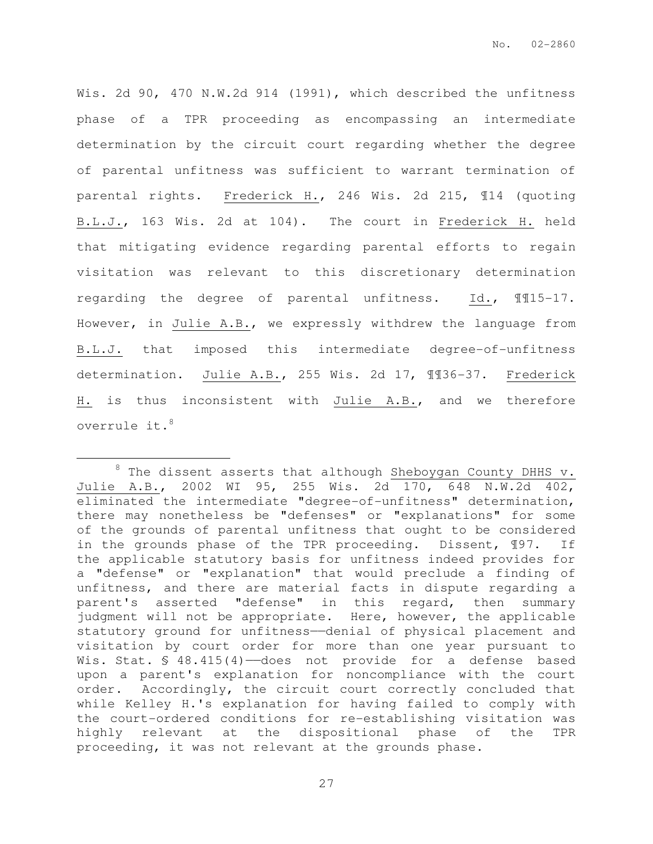Wis. 2d 90, 470 N.W.2d 914 (1991), which described the unfitness phase of a TPR proceeding as encompassing an intermediate determination by the circuit court regarding whether the degree of parental unfitness was sufficient to warrant termination of parental rights. Frederick H., 246 Wis. 2d 215, ¶14 (quoting B.L.J., 163 Wis. 2d at 104). The court in Frederick H. held that mitigating evidence regarding parental efforts to regain visitation was relevant to this discretionary determination regarding the degree of parental unfitness. Id., ¶¶15-17. However, in Julie A.B., we expressly withdrew the language from B.L.J. that imposed this intermediate degree-of-unfitness determination. Julie A.B., 255 Wis. 2d 17, ¶¶36-37. Frederick H. is thus inconsistent with Julie A.B., and we therefore overrule it.<sup>8</sup>

 $\overline{a}$ 

 $8$  The dissent asserts that although Sheboygan County DHHS v. Julie A.B., 2002 WI 95, 255 Wis. 2d 170, 648 N.W.2d 402, eliminated the intermediate "degree-of-unfitness" determination, there may nonetheless be "defenses" or "explanations" for some of the grounds of parental unfitness that ought to be considered in the grounds phase of the TPR proceeding. Dissent, ¶97. If the applicable statutory basis for unfitness indeed provides for a "defense" or "explanation" that would preclude a finding of unfitness, and there are material facts in dispute regarding a parent's asserted "defense" in this regard, then summary judgment will not be appropriate. Here, however, the applicable statutory ground for unfitness--denial of physical placement and visitation by court order for more than one year pursuant to Wis. Stat. § 48.415(4)-does not provide for a defense based upon a parent's explanation for noncompliance with the court order. Accordingly, the circuit court correctly concluded that while Kelley H.'s explanation for having failed to comply with the court-ordered conditions for re-establishing visitation was highly relevant at the dispositional phase of the TPR proceeding, it was not relevant at the grounds phase.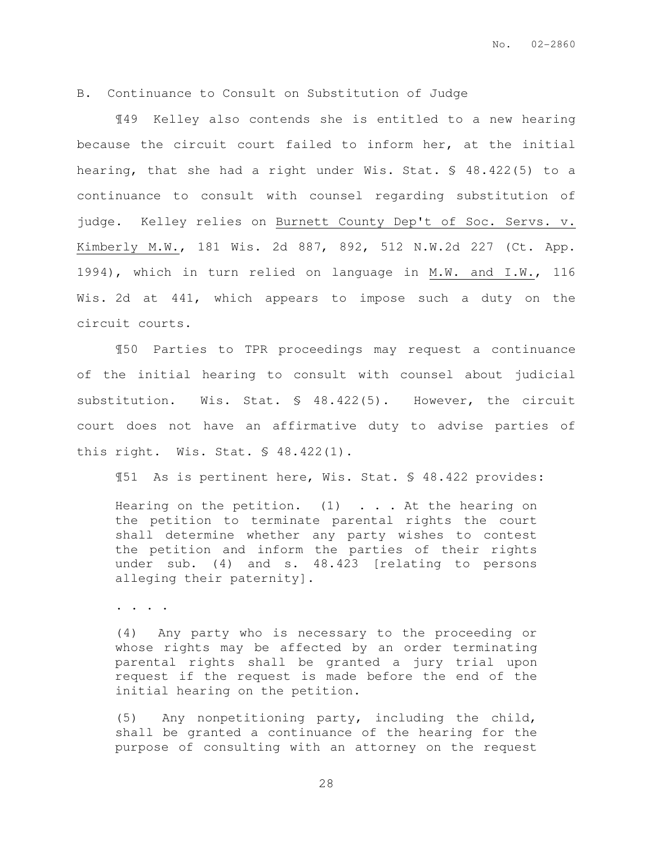## B. Continuance to Consult on Substitution of Judge

¶49 Kelley also contends she is entitled to a new hearing because the circuit court failed to inform her, at the initial hearing, that she had a right under Wis. Stat. § 48.422(5) to a continuance to consult with counsel regarding substitution of judge. Kelley relies on Burnett County Dep't of Soc. Servs. v. Kimberly M.W., 181 Wis. 2d 887, 892, 512 N.W.2d 227 (Ct. App. 1994), which in turn relied on language in M.W. and I.W., 116 Wis. 2d at 441, which appears to impose such a duty on the circuit courts.

¶50 Parties to TPR proceedings may request a continuance of the initial hearing to consult with counsel about judicial substitution. Wis. Stat. § 48.422(5). However, the circuit court does not have an affirmative duty to advise parties of this right. Wis. Stat. § 48.422(1).

¶51 As is pertinent here, Wis. Stat. § 48.422 provides:

Hearing on the petition.  $(1)$  ... At the hearing on the petition to terminate parental rights the court shall determine whether any party wishes to contest the petition and inform the parties of their rights under sub. (4) and s. 48.423 [relating to persons alleging their paternity].

. . . .

(4) Any party who is necessary to the proceeding or whose rights may be affected by an order terminating parental rights shall be granted a jury trial upon request if the request is made before the end of the initial hearing on the petition.

(5) Any nonpetitioning party, including the child, shall be granted a continuance of the hearing for the purpose of consulting with an attorney on the request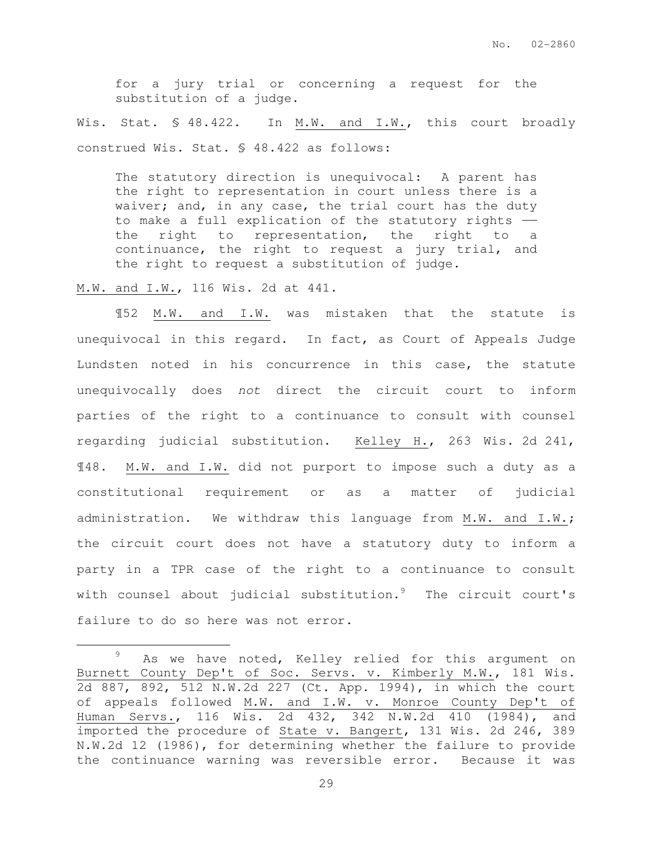for a jury trial or concerning a request for the substitution of a judge.

Wis. Stat. § 48.422. In M.W. and I.W., this court broadly construed Wis. Stat. § 48.422 as follows:

The statutory direction is unequivocal: A parent has the right to representation in court unless there is a waiver; and, in any case, the trial court has the duty to make a full explication of the statutory rights — the right to representation, the right to a continuance, the right to request a jury trial, and the right to request a substitution of judge.

M.W. and I.W., 116 Wis. 2d at 441.

 $\overline{a}$ 

¶52 M.W. and I.W. was mistaken that the statute is unequivocal in this regard. In fact, as Court of Appeals Judge Lundsten noted in his concurrence in this case, the statute unequivocally does not direct the circuit court to inform parties of the right to a continuance to consult with counsel regarding judicial substitution. Kelley H., 263 Wis. 2d 241, ¶48. M.W. and I.W. did not purport to impose such a duty as a constitutional requirement or as a matter of judicial administration. We withdraw this language from M.W. and I.W.; the circuit court does not have a statutory duty to inform a party in a TPR case of the right to a continuance to consult with counsel about judicial substitution. $9$  The circuit court's failure to do so here was not error.

<sup>&</sup>lt;sup>9</sup> As we have noted, Kelley relied for this argument on Burnett County Dep't of Soc. Servs. v. Kimberly M.W., 181 Wis. 2d 887, 892, 512 N.W.2d 227 (Ct. App. 1994), in which the court of appeals followed M.W. and I.W. v. Monroe County Dep't of Human Servs., 116 Wis. 2d 432, 342 N.W.2d 410 (1984), and imported the procedure of State v. Bangert, 131 Wis. 2d 246, 389 N.W.2d 12 (1986), for determining whether the failure to provide the continuance warning was reversible error. Because it was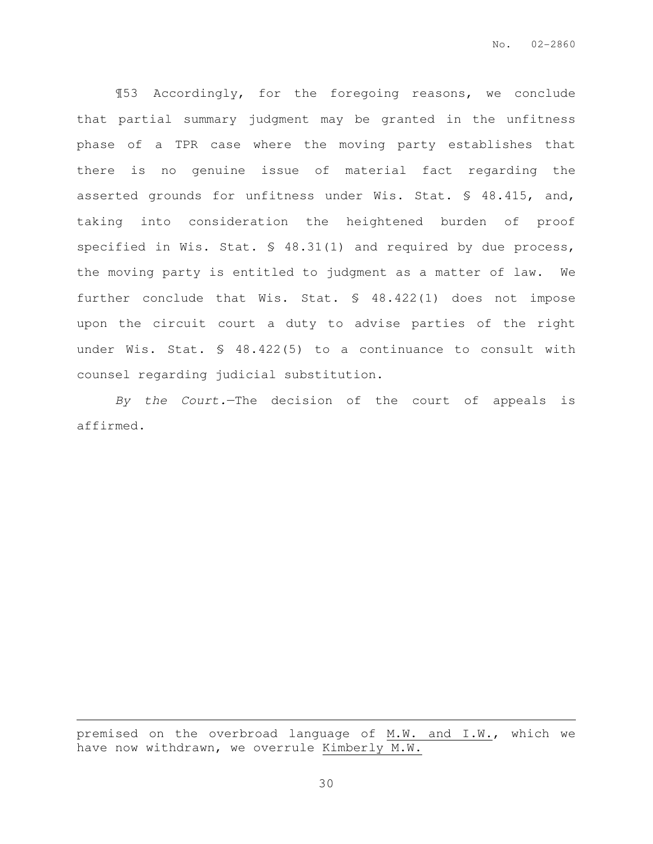¶53 Accordingly, for the foregoing reasons, we conclude that partial summary judgment may be granted in the unfitness phase of a TPR case where the moving party establishes that there is no genuine issue of material fact regarding the asserted grounds for unfitness under Wis. Stat. § 48.415, and, taking into consideration the heightened burden of proof specified in Wis. Stat. § 48.31(1) and required by due process, the moving party is entitled to judgment as a matter of law. We further conclude that Wis. Stat. § 48.422(1) does not impose upon the circuit court a duty to advise parties of the right under Wis. Stat. § 48.422(5) to a continuance to consult with counsel regarding judicial substitution.

By the Court.—The decision of the court of appeals is affirmed.

premised on the overbroad language of M.W. and I.W., which we have now withdrawn, we overrule Kimberly M.W.

 $\overline{a}$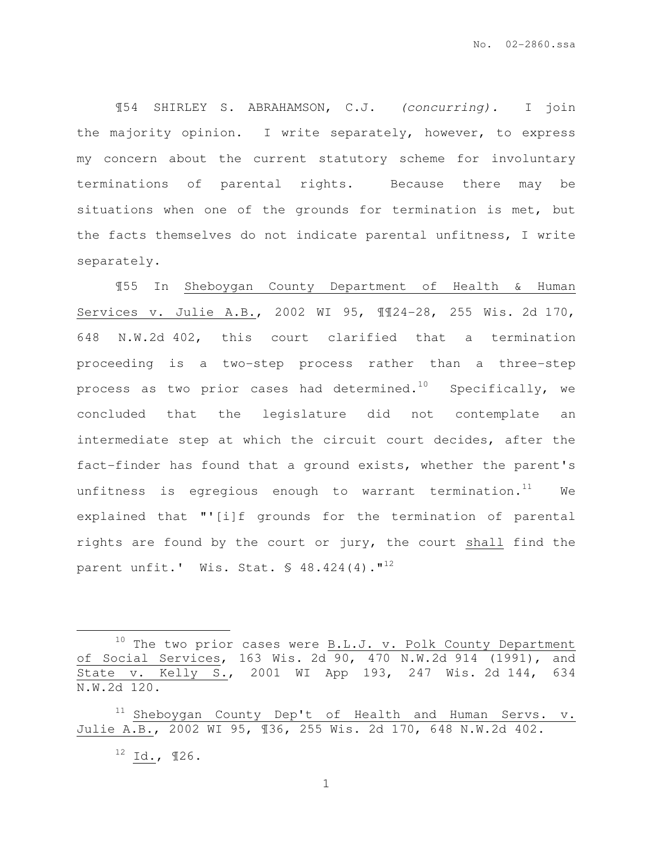¶54 SHIRLEY S. ABRAHAMSON, C.J. (concurring). I join the majority opinion. I write separately, however, to express my concern about the current statutory scheme for involuntary terminations of parental rights. Because there may be situations when one of the grounds for termination is met, but the facts themselves do not indicate parental unfitness, I write separately.

¶55 In Sheboygan County Department of Health & Human Services v. Julie A.B., 2002 WI 95, ¶¶24-28, 255 Wis. 2d 170, 648 N.W.2d 402, this court clarified that a termination proceeding is a two-step process rather than a three-step process as two prior cases had determined.<sup>10</sup> Specifically, we concluded that the legislature did not contemplate an intermediate step at which the circuit court decides, after the fact-finder has found that a ground exists, whether the parent's unfitness is egregious enough to warrant termination. $11$  We explained that "'[i]f grounds for the termination of parental rights are found by the court or jury, the court shall find the parent unfit.' Wis. Stat. § 48.424(4)."<sup>12</sup>

 $\overline{a}$ 

 $10$  The two prior cases were B.L.J. v. Polk County Department of Social Services, 163 Wis. 2d 90, 470 N.W.2d 914 (1991), and State v. Kelly S., 2001 WI App 193, 247 Wis. 2d 144, 634 N.W.2d 120.

<sup>&</sup>lt;sup>11</sup> Sheboygan County Dep't of Health and Human Servs. v. Julie A.B., 2002 WI 95, ¶36, 255 Wis. 2d 170, 648 N.W.2d 402.  $12$  Id.,  $126$ .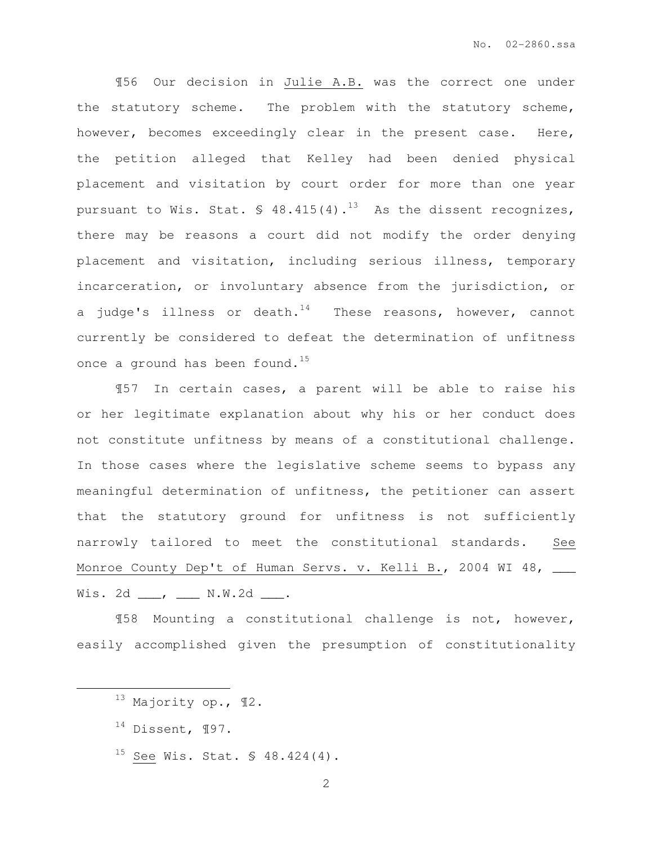¶56 Our decision in Julie A.B. was the correct one under the statutory scheme. The problem with the statutory scheme, however, becomes exceedingly clear in the present case. Here, the petition alleged that Kelley had been denied physical placement and visitation by court order for more than one year pursuant to Wis. Stat.  $\frac{1}{2}$  48.415(4).<sup>13</sup> As the dissent recognizes, there may be reasons a court did not modify the order denying placement and visitation, including serious illness, temporary incarceration, or involuntary absence from the jurisdiction, or a judge's illness or death.<sup>14</sup> These reasons, however, cannot currently be considered to defeat the determination of unfitness once a ground has been found.<sup>15</sup>

¶57 In certain cases, a parent will be able to raise his or her legitimate explanation about why his or her conduct does not constitute unfitness by means of a constitutional challenge. In those cases where the legislative scheme seems to bypass any meaningful determination of unfitness, the petitioner can assert that the statutory ground for unfitness is not sufficiently narrowly tailored to meet the constitutional standards. See Monroe County Dep't of Human Servs. v. Kelli B., 2004 WI 48, \_\_\_ Wis. 2d \_\_\_, \_\_\_ N.W.2d \_\_\_.

¶58 Mounting a constitutional challenge is not, however, easily accomplished given the presumption of constitutionality

 $14$  Dissent,  $\P97$ .

 $\overline{a}$ 

<sup>15</sup> See Wis. Stat.  $\frac{15}{9}$  48.424(4).

<sup>13</sup> Majority op., ¶2.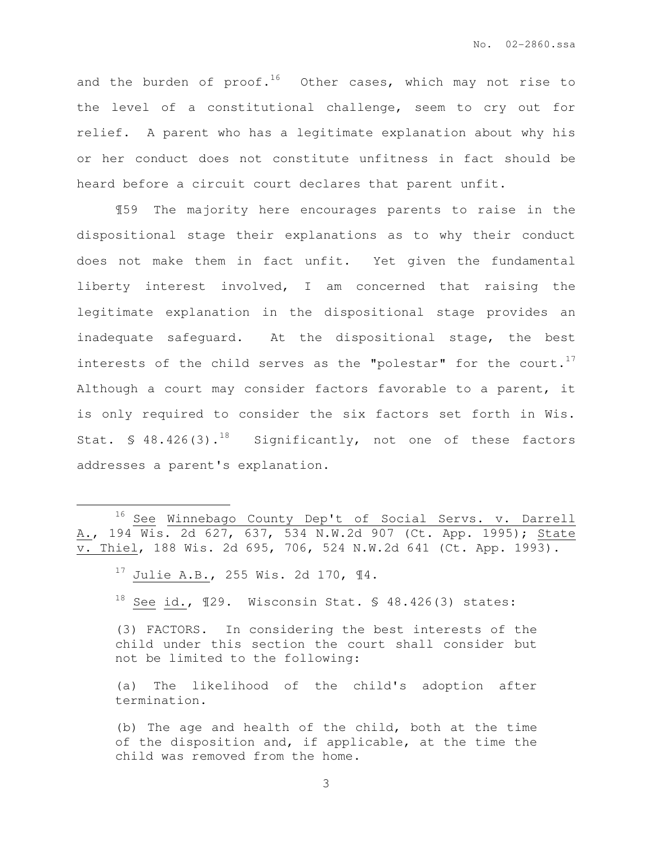and the burden of  $proof.^{16}$  Other cases, which may not rise to the level of a constitutional challenge, seem to cry out for relief. A parent who has a legitimate explanation about why his or her conduct does not constitute unfitness in fact should be heard before a circuit court declares that parent unfit.

¶59 The majority here encourages parents to raise in the dispositional stage their explanations as to why their conduct does not make them in fact unfit. Yet given the fundamental liberty interest involved, I am concerned that raising the legitimate explanation in the dispositional stage provides an inadequate safeguard. At the dispositional stage, the best interests of the child serves as the "polestar" for the court.<sup>17</sup> Although a court may consider factors favorable to a parent, it is only required to consider the six factors set forth in Wis. Stat. § 48.426(3).<sup>18</sup> Significantly, not one of these factors addresses a parent's explanation.

 $\overline{a}$ 

- $18$  See id.,  $129$ . Wisconsin Stat. § 48.426(3) states:
- (3) FACTORS. In considering the best interests of the child under this section the court shall consider but not be limited to the following:

(a) The likelihood of the child's adoption after termination.

(b) The age and health of the child, both at the time of the disposition and, if applicable, at the time the child was removed from the home.

<sup>16</sup> See Winnebago County Dep't of Social Servs. v. Darrell A., 194 Wis. 2d 627, 637, 534 N.W.2d 907 (Ct. App. 1995); State v. Thiel, 188 Wis. 2d 695, 706, 524 N.W.2d 641 (Ct. App. 1993).

<sup>17</sup> Julie A.B., 255 Wis. 2d 170, ¶4.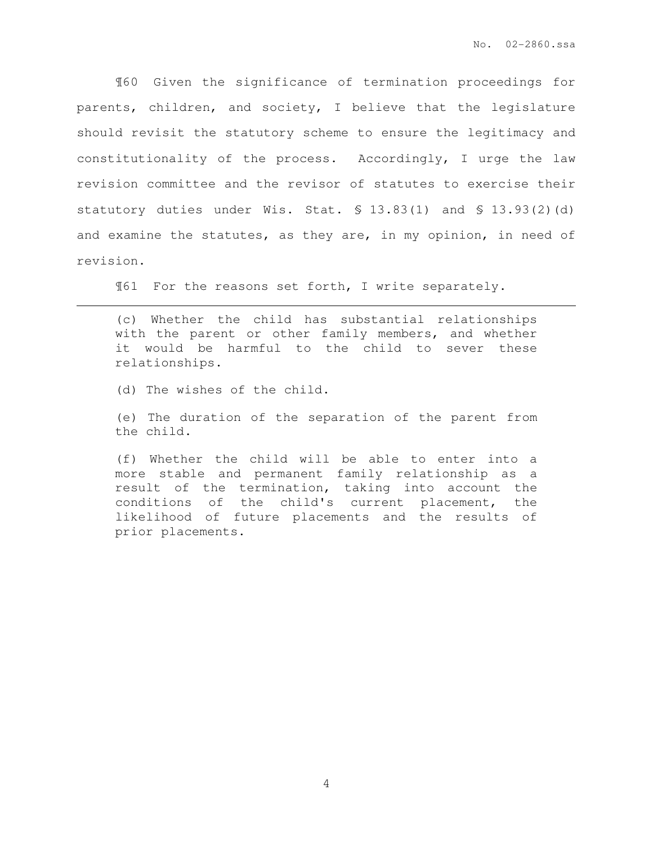¶60 Given the significance of termination proceedings for parents, children, and society, I believe that the legislature should revisit the statutory scheme to ensure the legitimacy and constitutionality of the process. Accordingly, I urge the law revision committee and the revisor of statutes to exercise their statutory duties under Wis. Stat. § 13.83(1) and § 13.93(2)(d) and examine the statutes, as they are, in my opinion, in need of revision.

¶61 For the reasons set forth, I write separately.

(c) Whether the child has substantial relationships with the parent or other family members, and whether it would be harmful to the child to sever these relationships.

(d) The wishes of the child.

 $\overline{a}$ 

(e) The duration of the separation of the parent from the child.

(f) Whether the child will be able to enter into a more stable and permanent family relationship as a result of the termination, taking into account the conditions of the child's current placement, the likelihood of future placements and the results of prior placements.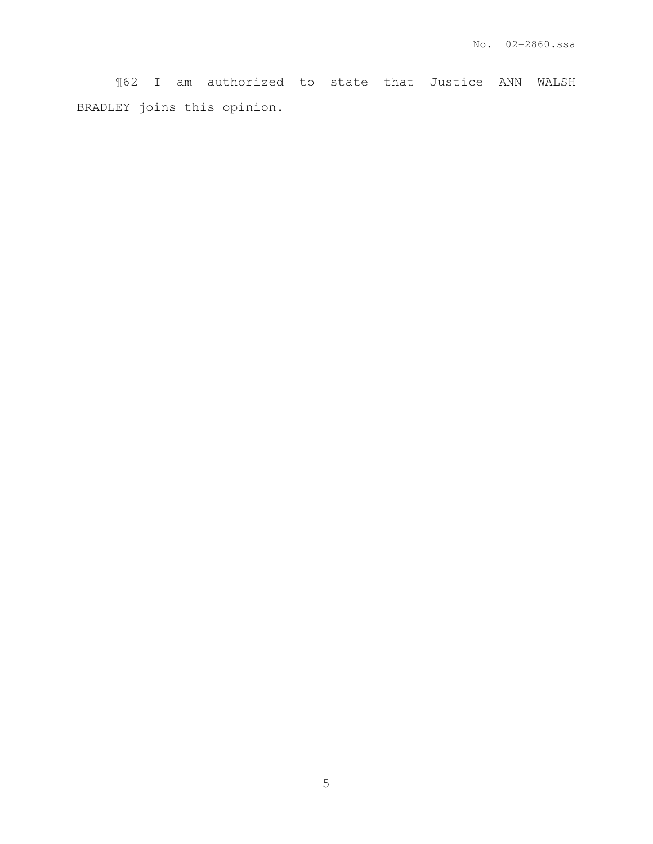¶62 I am authorized to state that Justice ANN WALSH BRADLEY joins this opinion.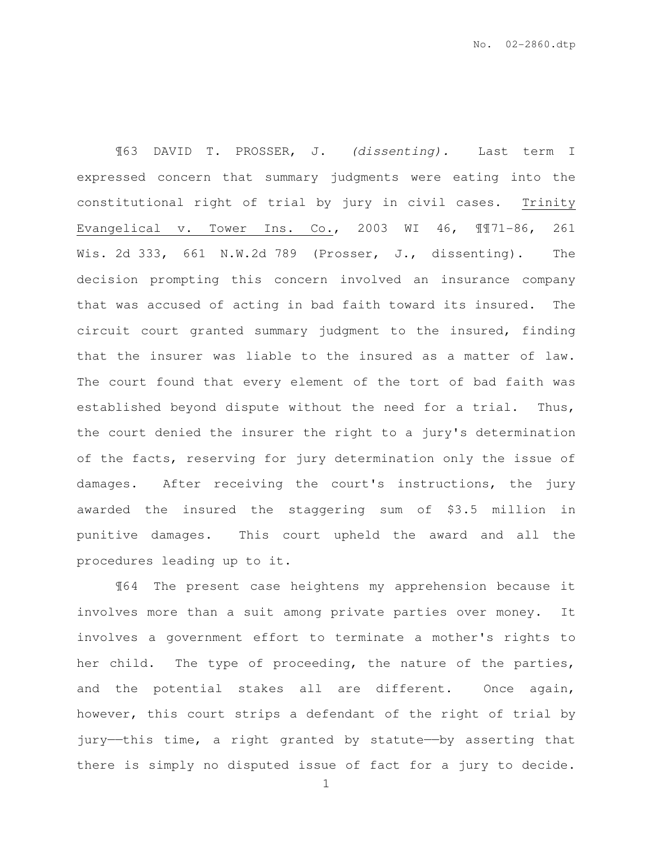¶63 DAVID T. PROSSER, J. (dissenting). Last term I expressed concern that summary judgments were eating into the constitutional right of trial by jury in civil cases. Trinity Evangelical v. Tower Ins. Co., 2003 WI 46, ¶¶71-86, 261 Wis. 2d 333, 661 N.W.2d 789 (Prosser, J., dissenting). The decision prompting this concern involved an insurance company that was accused of acting in bad faith toward its insured. The circuit court granted summary judgment to the insured, finding that the insurer was liable to the insured as a matter of law. The court found that every element of the tort of bad faith was established beyond dispute without the need for a trial. Thus, the court denied the insurer the right to a jury's determination of the facts, reserving for jury determination only the issue of damages. After receiving the court's instructions, the jury awarded the insured the staggering sum of \$3.5 million in punitive damages. This court upheld the award and all the procedures leading up to it.

¶64 The present case heightens my apprehension because it involves more than a suit among private parties over money. It involves a government effort to terminate a mother's rights to her child. The type of proceeding, the nature of the parties, and the potential stakes all are different. Once again, however, this court strips a defendant of the right of trial by jury—this time, a right granted by statute—by asserting that there is simply no disputed issue of fact for a jury to decide.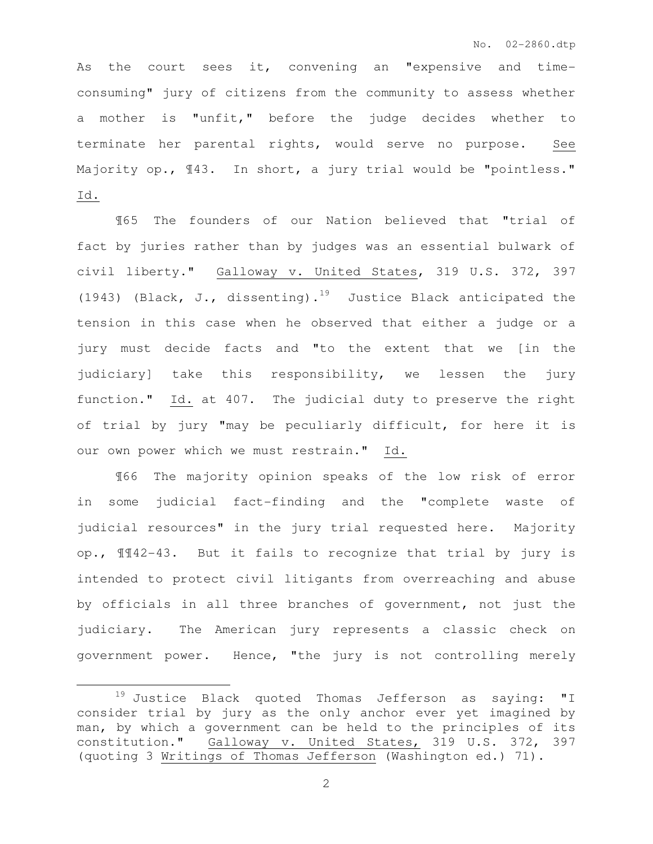As the court sees it, convening an "expensive and timeconsuming" jury of citizens from the community to assess whether a mother is "unfit," before the judge decides whether to terminate her parental rights, would serve no purpose. See Majority op.,  $\mathbb{I}43$ . In short, a jury trial would be "pointless." Id.

¶65 The founders of our Nation believed that "trial of fact by juries rather than by judges was an essential bulwark of civil liberty." Galloway v. United States, 319 U.S. 372, 397 (1943) (Black, J., dissenting).<sup>19</sup> Justice Black anticipated the tension in this case when he observed that either a judge or a jury must decide facts and "to the extent that we [in the judiciary] take this responsibility, we lessen the jury function." Id. at 407. The judicial duty to preserve the right of trial by jury "may be peculiarly difficult, for here it is our own power which we must restrain." Id.

¶66 The majority opinion speaks of the low risk of error in some judicial fact-finding and the "complete waste of judicial resources" in the jury trial requested here. Majority op., ¶¶42-43. But it fails to recognize that trial by jury is intended to protect civil litigants from overreaching and abuse by officials in all three branches of government, not just the judiciary. The American jury represents a classic check on government power. Hence, "the jury is not controlling merely

 $\overline{a}$ 

<sup>19</sup> Justice Black quoted Thomas Jefferson as saying: "I consider trial by jury as the only anchor ever yet imagined by man, by which a government can be held to the principles of its constitution." Galloway v. United States, 319 U.S. 372, 397 (quoting 3 Writings of Thomas Jefferson (Washington ed.) 71).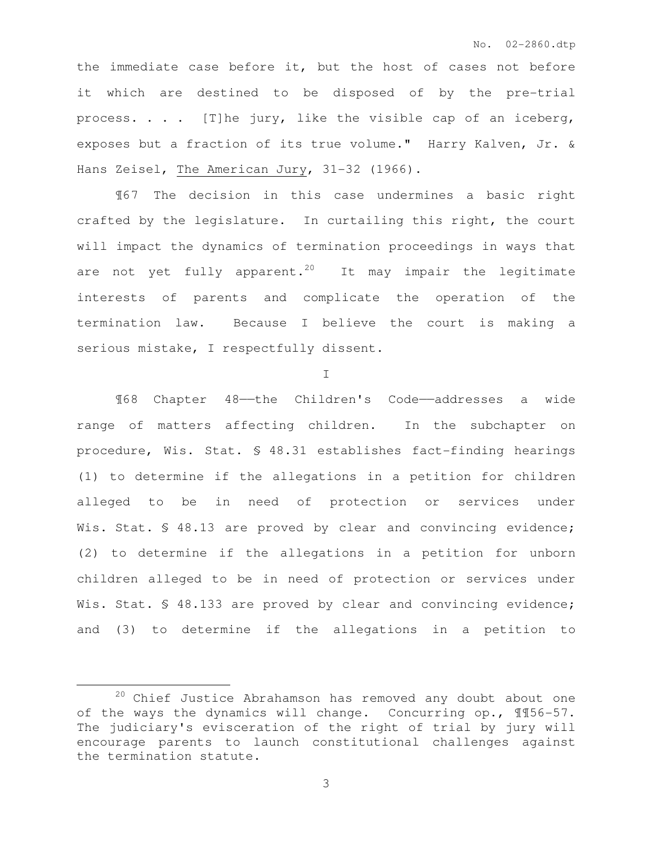the immediate case before it, but the host of cases not before it which are destined to be disposed of by the pre-trial process. . . . [T]he jury, like the visible cap of an iceberg, exposes but a fraction of its true volume." Harry Kalven, Jr. & Hans Zeisel, The American Jury, 31-32 (1966).

¶67 The decision in this case undermines a basic right crafted by the legislature. In curtailing this right, the court will impact the dynamics of termination proceedings in ways that are not yet fully apparent.<sup>20</sup> It may impair the legitimate interests of parents and complicate the operation of the termination law. Because I believe the court is making a serious mistake, I respectfully dissent.

I

 ¶68 Chapter 48——the Children's Code——addresses a wide range of matters affecting children. In the subchapter on procedure, Wis. Stat. § 48.31 establishes fact-finding hearings (1) to determine if the allegations in a petition for children alleged to be in need of protection or services under Wis. Stat. § 48.13 are proved by clear and convincing evidence; (2) to determine if the allegations in a petition for unborn children alleged to be in need of protection or services under Wis. Stat. § 48.133 are proved by clear and convincing evidence; and (3) to determine if the allegations in a petition to

 $\overline{a}$ 

<sup>20</sup> Chief Justice Abrahamson has removed any doubt about one of the ways the dynamics will change. Concurring op., ¶¶56-57. The judiciary's evisceration of the right of trial by jury will encourage parents to launch constitutional challenges against the termination statute.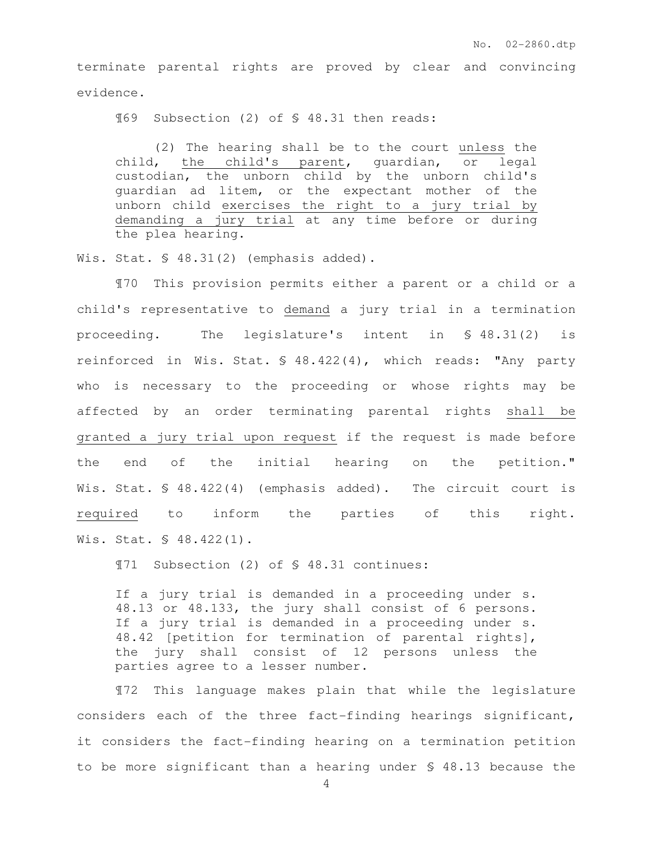terminate parental rights are proved by clear and convincing evidence.

¶69 Subsection (2) of § 48.31 then reads:

 (2) The hearing shall be to the court unless the child, the child's parent, guardian, or legal custodian, the unborn child by the unborn child's guardian ad litem, or the expectant mother of the unborn child exercises the right to a jury trial by demanding a jury trial at any time before or during the plea hearing.

Wis. Stat. § 48.31(2) (emphasis added).

 ¶70 This provision permits either a parent or a child or a child's representative to demand a jury trial in a termination proceeding. The legislature's intent in § 48.31(2) is reinforced in Wis. Stat. § 48.422(4), which reads: "Any party who is necessary to the proceeding or whose rights may be affected by an order terminating parental rights shall be granted a jury trial upon request if the request is made before the end of the initial hearing on the petition." Wis. Stat. § 48.422(4) (emphasis added). The circuit court is required to inform the parties of this right. Wis. Stat. § 48.422(1).

¶71 Subsection (2) of § 48.31 continues:

If a jury trial is demanded in a proceeding under s. 48.13 or 48.133, the jury shall consist of 6 persons. If a jury trial is demanded in a proceeding under s. 48.42 [petition for termination of parental rights], the jury shall consist of 12 persons unless the parties agree to a lesser number.

 ¶72 This language makes plain that while the legislature considers each of the three fact-finding hearings significant, it considers the fact-finding hearing on a termination petition to be more significant than a hearing under § 48.13 because the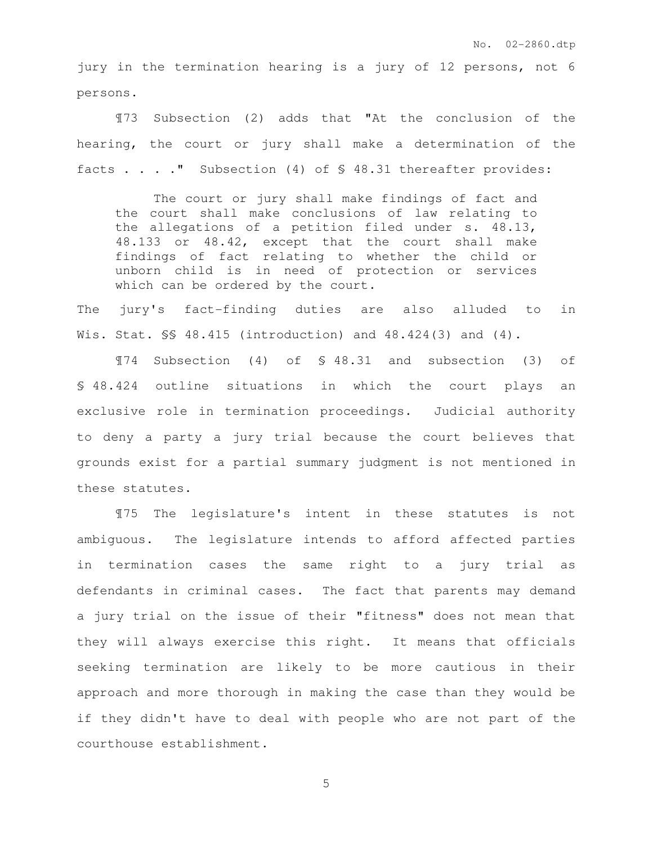jury in the termination hearing is a jury of 12 persons, not 6 persons.

 ¶73 Subsection (2) adds that "At the conclusion of the hearing, the court or jury shall make a determination of the facts . . . ." Subsection (4) of § 48.31 thereafter provides:

The court or jury shall make findings of fact and the court shall make conclusions of law relating to the allegations of a petition filed under s. 48.13, 48.133 or 48.42, except that the court shall make findings of fact relating to whether the child or unborn child is in need of protection or services which can be ordered by the court.

The jury's fact-finding duties are also alluded to in Wis. Stat. §§ 48.415 (introduction) and 48.424(3) and (4).

 ¶74 Subsection (4) of § 48.31 and subsection (3) of § 48.424 outline situations in which the court plays an exclusive role in termination proceedings. Judicial authority to deny a party a jury trial because the court believes that grounds exist for a partial summary judgment is not mentioned in these statutes.

 ¶75 The legislature's intent in these statutes is not ambiguous. The legislature intends to afford affected parties in termination cases the same right to a jury trial as defendants in criminal cases. The fact that parents may demand a jury trial on the issue of their "fitness" does not mean that they will always exercise this right. It means that officials seeking termination are likely to be more cautious in their approach and more thorough in making the case than they would be if they didn't have to deal with people who are not part of the courthouse establishment.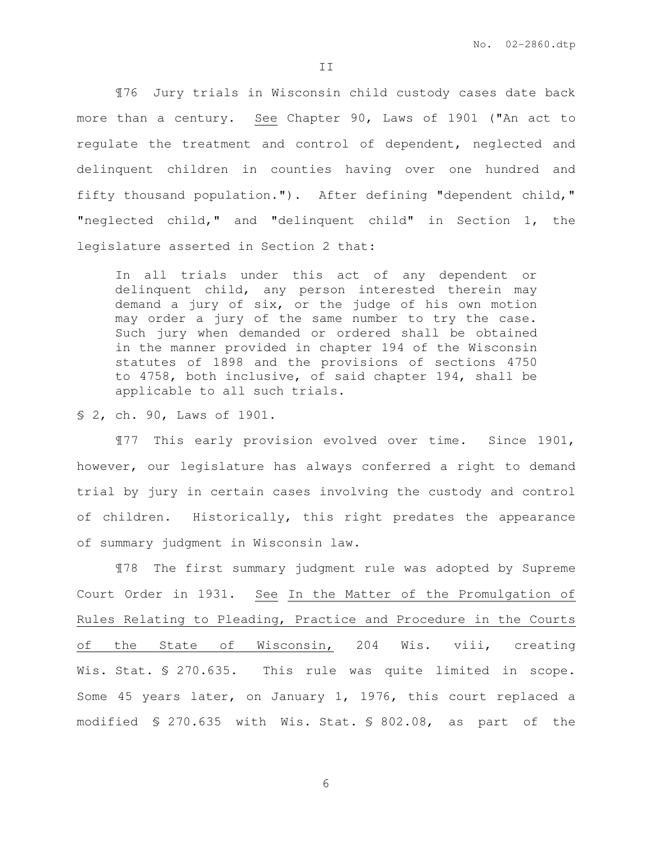II

 ¶76 Jury trials in Wisconsin child custody cases date back more than a century. See Chapter 90, Laws of 1901 ("An act to regulate the treatment and control of dependent, neglected and delinquent children in counties having over one hundred and fifty thousand population."). After defining "dependent child," "neglected child," and "delinquent child" in Section 1, the legislature asserted in Section 2 that:

In all trials under this act of any dependent or delinquent child, any person interested therein may demand a jury of six, or the judge of his own motion may order a jury of the same number to try the case. Such jury when demanded or ordered shall be obtained in the manner provided in chapter 194 of the Wisconsin statutes of 1898 and the provisions of sections 4750 to 4758, both inclusive, of said chapter 194, shall be applicable to all such trials.

§ 2, ch. 90, Laws of 1901.

 ¶77 This early provision evolved over time. Since 1901, however, our legislature has always conferred a right to demand trial by jury in certain cases involving the custody and control of children. Historically, this right predates the appearance of summary judgment in Wisconsin law.

 ¶78 The first summary judgment rule was adopted by Supreme Court Order in 1931. See In the Matter of the Promulgation of Rules Relating to Pleading, Practice and Procedure in the Courts of the State of Wisconsin, 204 Wis. viii, creating Wis. Stat. § 270.635. This rule was quite limited in scope. Some 45 years later, on January 1, 1976, this court replaced a modified § 270.635 with Wis. Stat. § 802.08, as part of the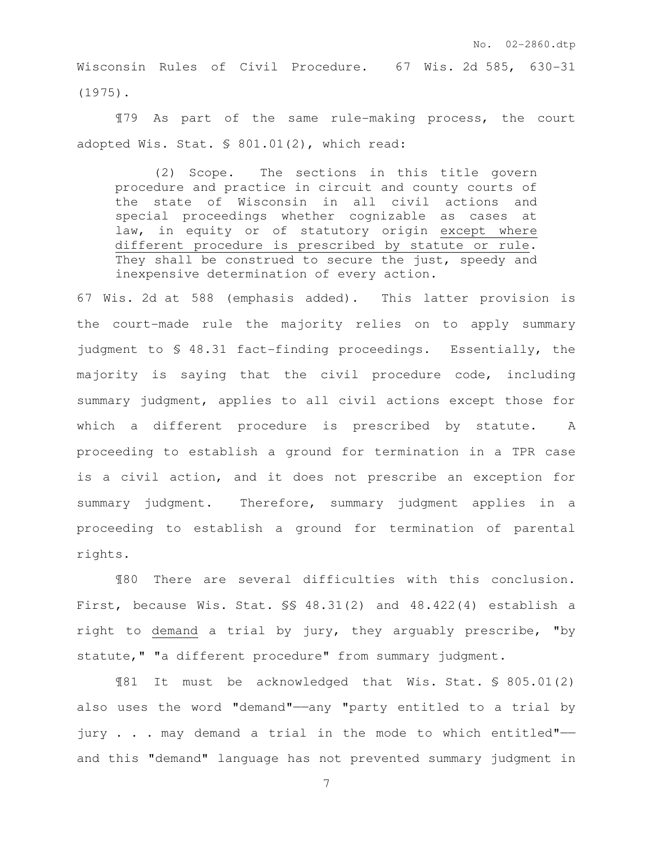Wisconsin Rules of Civil Procedure. 67 Wis. 2d 585, 630-31 (1975).

 ¶79 As part of the same rule-making process, the court adopted Wis. Stat. § 801.01(2), which read:

 (2) Scope. The sections in this title govern procedure and practice in circuit and county courts of the state of Wisconsin in all civil actions and special proceedings whether cognizable as cases at law, in equity or of statutory origin except where different procedure is prescribed by statute or rule. They shall be construed to secure the just, speedy and inexpensive determination of every action.

67 Wis. 2d at 588 (emphasis added). This latter provision is the court-made rule the majority relies on to apply summary judgment to § 48.31 fact-finding proceedings. Essentially, the majority is saying that the civil procedure code, including summary judgment, applies to all civil actions except those for which a different procedure is prescribed by statute. A proceeding to establish a ground for termination in a TPR case is a civil action, and it does not prescribe an exception for summary judgment. Therefore, summary judgment applies in a proceeding to establish a ground for termination of parental rights.

 ¶80 There are several difficulties with this conclusion. First, because Wis. Stat. §§ 48.31(2) and 48.422(4) establish a right to demand a trial by jury, they arguably prescribe, "by statute," "a different procedure" from summary judgment.

¶81 It must be acknowledged that Wis. Stat. § 805.01(2) also uses the word "demand"——any "party entitled to a trial by jury . . . may demand a trial in the mode to which entitled"— and this "demand" language has not prevented summary judgment in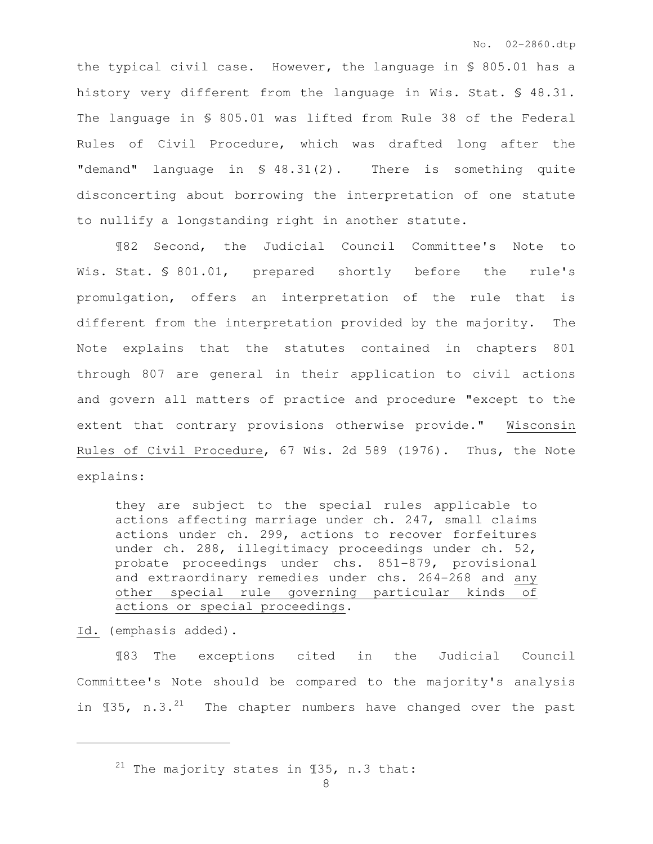the typical civil case. However, the language in § 805.01 has a history very different from the language in Wis. Stat. § 48.31. The language in § 805.01 was lifted from Rule 38 of the Federal Rules of Civil Procedure, which was drafted long after the "demand" language in § 48.31(2). There is something quite disconcerting about borrowing the interpretation of one statute to nullify a longstanding right in another statute.

 ¶82 Second, the Judicial Council Committee's Note to Wis. Stat. § 801.01, prepared shortly before the rule's promulgation, offers an interpretation of the rule that is different from the interpretation provided by the majority. The Note explains that the statutes contained in chapters 801 through 807 are general in their application to civil actions and govern all matters of practice and procedure "except to the extent that contrary provisions otherwise provide." Wisconsin Rules of Civil Procedure, 67 Wis. 2d 589 (1976). Thus, the Note explains:

they are subject to the special rules applicable to actions affecting marriage under ch. 247, small claims actions under ch. 299, actions to recover forfeitures under ch. 288, illegitimacy proceedings under ch. 52, probate proceedings under chs. 851-879, provisional and extraordinary remedies under chs. 264-268 and any other special rule governing particular kinds of actions or special proceedings.

Id. (emphasis added).

 $\overline{a}$ 

¶83 The exceptions cited in the Judicial Council Committee's Note should be compared to the majority's analysis in  $\text{\textsterling}35$ , n.3.<sup>21</sup> The chapter numbers have changed over the past

<sup>&</sup>lt;sup>21</sup> The majority states in  $\P$ 35, n.3 that: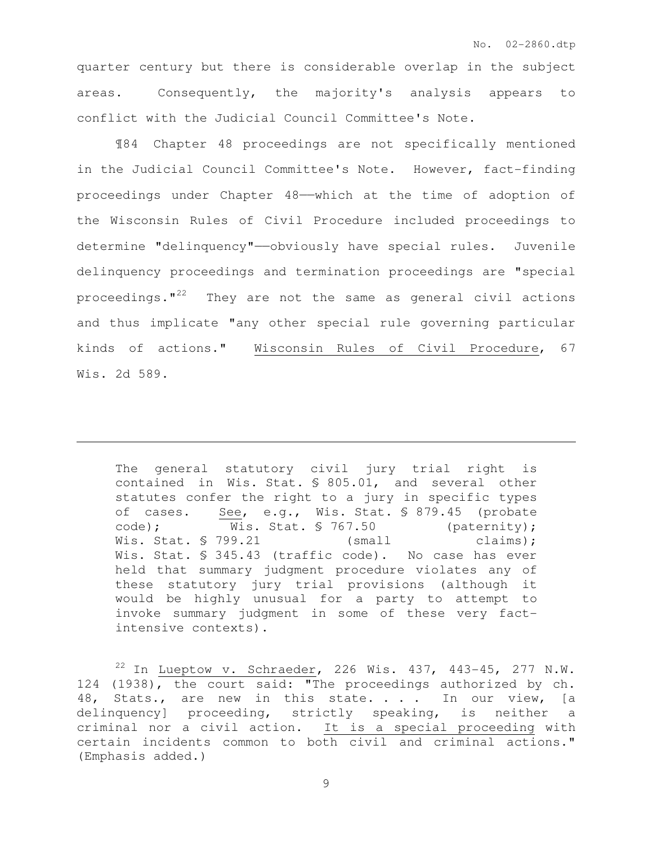quarter century but there is considerable overlap in the subject areas. Consequently, the majority's analysis appears to conflict with the Judicial Council Committee's Note.

¶84 Chapter 48 proceedings are not specifically mentioned in the Judicial Council Committee's Note. However, fact-finding proceedings under Chapter 48——which at the time of adoption of the Wisconsin Rules of Civil Procedure included proceedings to determine "delinquency"——obviously have special rules. Juvenile delinquency proceedings and termination proceedings are "special proceedings. $12^2$  They are not the same as general civil actions and thus implicate "any other special rule governing particular kinds of actions." Wisconsin Rules of Civil Procedure, 67 Wis. 2d 589.

The general statutory civil jury trial right is contained in Wis. Stat. § 805.01, and several other statutes confer the right to a jury in specific types of cases. See, e.g., Wis. Stat. § 879.45 (probate code); Wis. Stat. § 767.50 (paternity); Wis. Stat. § 799.21 (small claims); Wis. Stat. § 345.43 (traffic code). No case has ever held that summary judgment procedure violates any of these statutory jury trial provisions (although it would be highly unusual for a party to attempt to invoke summary judgment in some of these very factintensive contexts).

 $\overline{a}$ 

 $22$  In Lueptow v. Schraeder, 226 Wis. 437, 443-45, 277 N.W. 124 (1938), the court said: "The proceedings authorized by ch. 48, Stats., are new in this state. . . . In our view, [a delinquency] proceeding, strictly speaking, is neither a criminal nor a civil action. It is a special proceeding with certain incidents common to both civil and criminal actions." (Emphasis added.)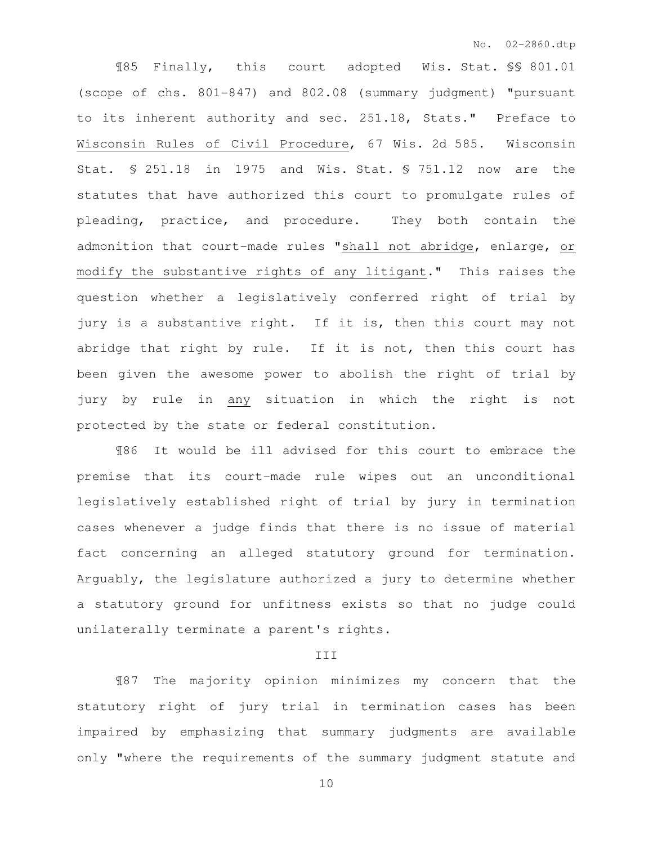¶85 Finally, this court adopted Wis. Stat. §§ 801.01 (scope of chs. 801-847) and 802.08 (summary judgment) "pursuant to its inherent authority and sec. 251.18, Stats." Preface to Wisconsin Rules of Civil Procedure, 67 Wis. 2d 585. Wisconsin Stat. § 251.18 in 1975 and Wis. Stat. § 751.12 now are the statutes that have authorized this court to promulgate rules of pleading, practice, and procedure. They both contain the admonition that court-made rules "shall not abridge, enlarge, or modify the substantive rights of any litigant." This raises the question whether a legislatively conferred right of trial by jury is a substantive right. If it is, then this court may not abridge that right by rule. If it is not, then this court has been given the awesome power to abolish the right of trial by jury by rule in any situation in which the right is not protected by the state or federal constitution.

 ¶86 It would be ill advised for this court to embrace the premise that its court-made rule wipes out an unconditional legislatively established right of trial by jury in termination cases whenever a judge finds that there is no issue of material fact concerning an alleged statutory ground for termination. Arguably, the legislature authorized a jury to determine whether a statutory ground for unfitness exists so that no judge could unilaterally terminate a parent's rights.

#### III

 ¶87 The majority opinion minimizes my concern that the statutory right of jury trial in termination cases has been impaired by emphasizing that summary judgments are available only "where the requirements of the summary judgment statute and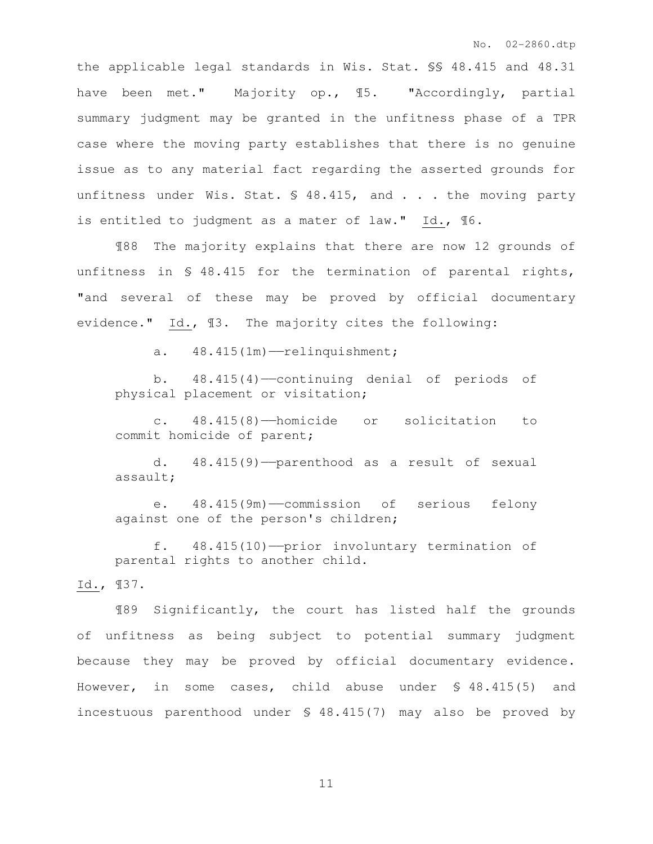the applicable legal standards in Wis. Stat. §§ 48.415 and 48.31 have been met." Majority op., ¶5. "Accordingly, partial summary judgment may be granted in the unfitness phase of a TPR case where the moving party establishes that there is no genuine issue as to any material fact regarding the asserted grounds for unfitness under Wis. Stat. § 48.415, and . . . the moving party is entitled to judgment as a mater of law." Id., ¶6.

 ¶88 The majority explains that there are now 12 grounds of unfitness in § 48.415 for the termination of parental rights, "and several of these may be proved by official documentary evidence." Id., ¶3. The majority cites the following:

a.  $48.415(1m)$  -relinquishment;

 b. 48.415(4)——continuing denial of periods of physical placement or visitation;

 c. 48.415(8)——homicide or solicitation to commit homicide of parent;

 d. 48.415(9)——parenthood as a result of sexual assault;

 e. 48.415(9m)——commission of serious felony against one of the person's children;

 f. 48.415(10)——prior involuntary termination of parental rights to another child.

Id., ¶37.

¶89 Significantly, the court has listed half the grounds of unfitness as being subject to potential summary judgment because they may be proved by official documentary evidence. However, in some cases, child abuse under § 48.415(5) and incestuous parenthood under § 48.415(7) may also be proved by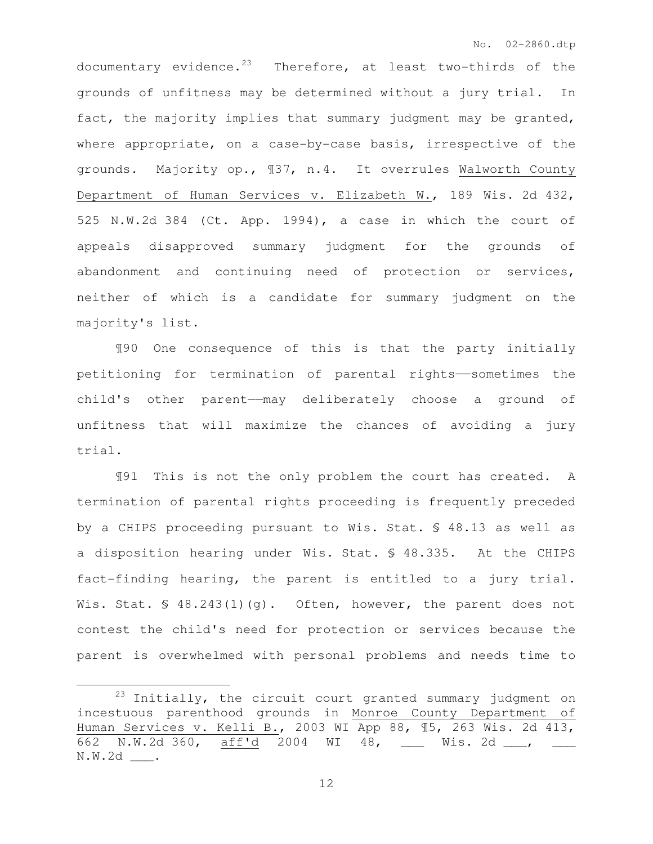documentary evidence.<sup>23</sup> Therefore, at least two-thirds of the grounds of unfitness may be determined without a jury trial. In fact, the majority implies that summary judgment may be granted, where appropriate, on a case-by-case basis, irrespective of the grounds. Majority op., ¶37, n.4. It overrules Walworth County Department of Human Services v. Elizabeth W., 189 Wis. 2d 432, 525 N.W.2d 384 (Ct. App. 1994), a case in which the court of appeals disapproved summary judgment for the grounds of abandonment and continuing need of protection or services, neither of which is a candidate for summary judgment on the majority's list.

 ¶90 One consequence of this is that the party initially petitioning for termination of parental rights——sometimes the child's other parent——may deliberately choose a ground of unfitness that will maximize the chances of avoiding a jury trial.

¶91 This is not the only problem the court has created. A termination of parental rights proceeding is frequently preceded by a CHIPS proceeding pursuant to Wis. Stat. § 48.13 as well as a disposition hearing under Wis. Stat. § 48.335. At the CHIPS fact-finding hearing, the parent is entitled to a jury trial. Wis. Stat.  $\frac{6}{5}$  48.243(1)(q). Often, however, the parent does not contest the child's need for protection or services because the parent is overwhelmed with personal problems and needs time to

 $\overline{a}$ 

<sup>&</sup>lt;sup>23</sup> Initially, the circuit court granted summary judgment on incestuous parenthood grounds in Monroe County Department of Human Services v. Kelli B., 2003 WI App 88, ¶5, 263 Wis. 2d 413, 662 N.W.2d 360, aff'd 2004 WI 48, \_\_\_ Wis. 2d \_\_\_, \_\_\_ N.W.2d \_\_\_.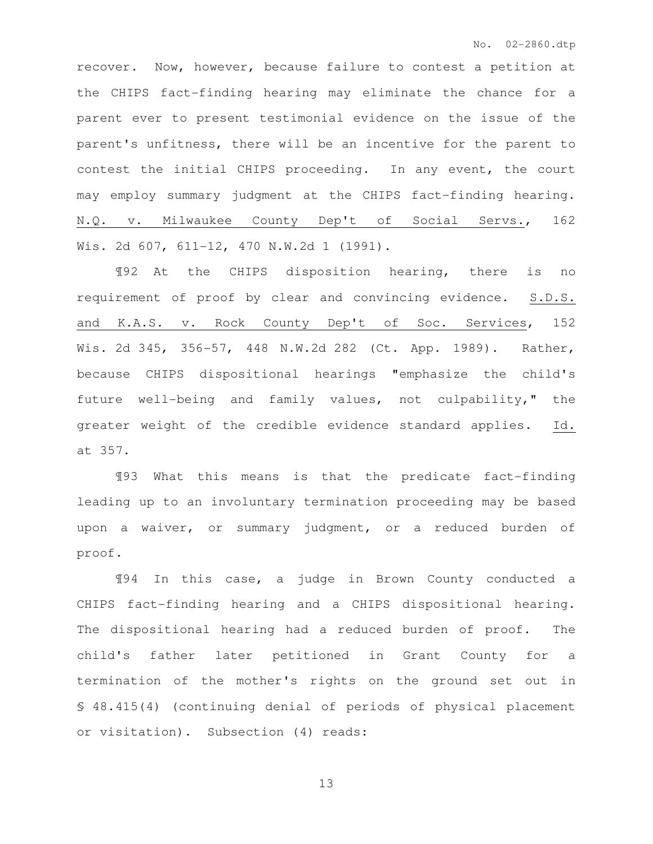recover. Now, however, because failure to contest a petition at the CHIPS fact-finding hearing may eliminate the chance for a parent ever to present testimonial evidence on the issue of the parent's unfitness, there will be an incentive for the parent to contest the initial CHIPS proceeding. In any event, the court may employ summary judgment at the CHIPS fact-finding hearing. N.Q. v. Milwaukee County Dep't of Social Servs., 162 Wis. 2d 607, 611-12, 470 N.W.2d 1 (1991).

 ¶92 At the CHIPS disposition hearing, there is no requirement of proof by clear and convincing evidence. S.D.S. and K.A.S. v. Rock County Dep't of Soc. Services, 152 Wis. 2d 345, 356-57, 448 N.W.2d 282 (Ct. App. 1989). Rather, because CHIPS dispositional hearings "emphasize the child's future well-being and family values, not culpability," the greater weight of the credible evidence standard applies. Id. at 357.

¶93 What this means is that the predicate fact-finding leading up to an involuntary termination proceeding may be based upon a waiver, or summary judgment, or a reduced burden of proof.

 ¶94 In this case, a judge in Brown County conducted a CHIPS fact-finding hearing and a CHIPS dispositional hearing. The dispositional hearing had a reduced burden of proof. The child's father later petitioned in Grant County for a termination of the mother's rights on the ground set out in § 48.415(4) (continuing denial of periods of physical placement or visitation). Subsection (4) reads: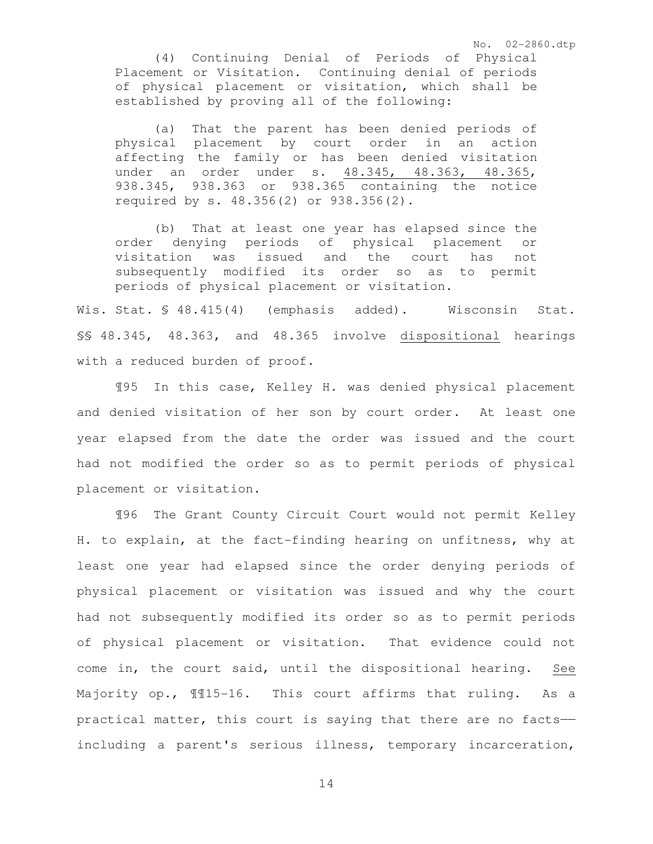(4) Continuing Denial of Periods of Physical Placement or Visitation. Continuing denial of periods of physical placement or visitation, which shall be established by proving all of the following:

No. 02-2860.dtp

(a) That the parent has been denied periods of physical placement by court order in an action affecting the family or has been denied visitation under an order under s. 48.345, 48.363, 48.365, 938.345, 938.363 or 938.365 containing the notice required by s. 48.356(2) or 938.356(2).

(b) That at least one year has elapsed since the order denying periods of physical placement or visitation was issued and the court has not subsequently modified its order so as to permit periods of physical placement or visitation.

Wis. Stat. § 48.415(4) (emphasis added). Wisconsin Stat. §§ 48.345, 48.363, and 48.365 involve dispositional hearings with a reduced burden of proof.

¶95 In this case, Kelley H. was denied physical placement and denied visitation of her son by court order. At least one year elapsed from the date the order was issued and the court had not modified the order so as to permit periods of physical placement or visitation.

¶96 The Grant County Circuit Court would not permit Kelley H. to explain, at the fact-finding hearing on unfitness, why at least one year had elapsed since the order denying periods of physical placement or visitation was issued and why the court had not subsequently modified its order so as to permit periods of physical placement or visitation. That evidence could not come in, the court said, until the dispositional hearing. See Majority op.,  $\text{\texttt{M15-16.}}$  This court affirms that ruling. As a practical matter, this court is saying that there are no facts— including a parent's serious illness, temporary incarceration,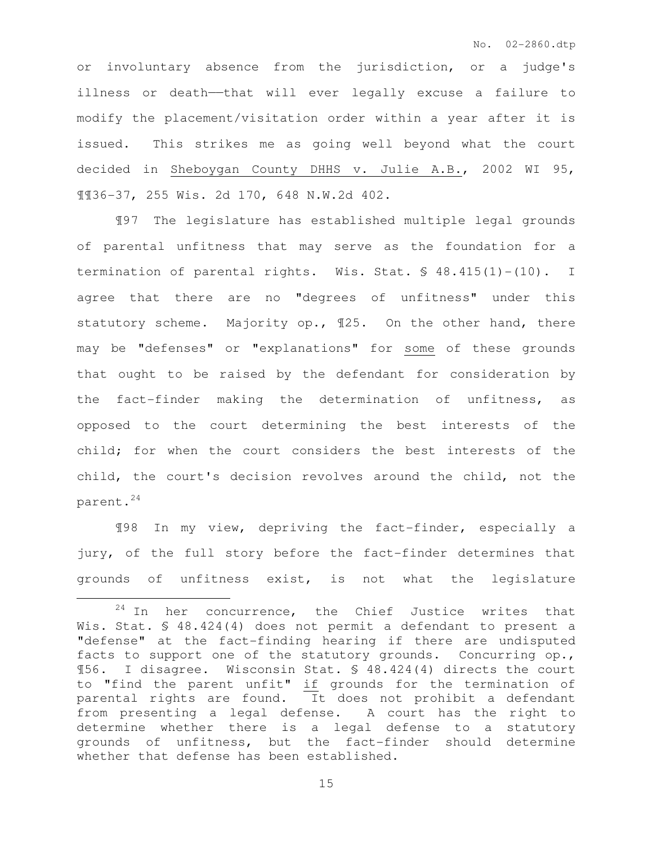or involuntary absence from the jurisdiction, or a judge's illness or death——that will ever legally excuse a failure to modify the placement/visitation order within a year after it is issued. This strikes me as going well beyond what the court decided in Sheboygan County DHHS v. Julie A.B., 2002 WI 95, ¶¶36-37, 255 Wis. 2d 170, 648 N.W.2d 402.

 ¶97 The legislature has established multiple legal grounds of parental unfitness that may serve as the foundation for a termination of parental rights. Wis. Stat. § 48.415(1)-(10). I agree that there are no "degrees of unfitness" under this statutory scheme. Majority op., ¶25. On the other hand, there may be "defenses" or "explanations" for some of these grounds that ought to be raised by the defendant for consideration by the fact-finder making the determination of unfitness, as opposed to the court determining the best interests of the child; for when the court considers the best interests of the child, the court's decision revolves around the child, not the parent.<sup>24</sup>

 ¶98 In my view, depriving the fact-finder, especially a jury, of the full story before the fact-finder determines that grounds of unfitness exist, is not what the legislature

 $\overline{a}$ 

 $24$  In her concurrence, the Chief Justice writes that Wis. Stat. § 48.424(4) does not permit a defendant to present a "defense" at the fact-finding hearing if there are undisputed facts to support one of the statutory grounds. Concurring op., ¶56. I disagree. Wisconsin Stat. § 48.424(4) directs the court to "find the parent unfit" if grounds for the termination of parental rights are found. It does not prohibit a defendant from presenting a legal defense. A court has the right to determine whether there is a legal defense to a statutory grounds of unfitness, but the fact-finder should determine whether that defense has been established.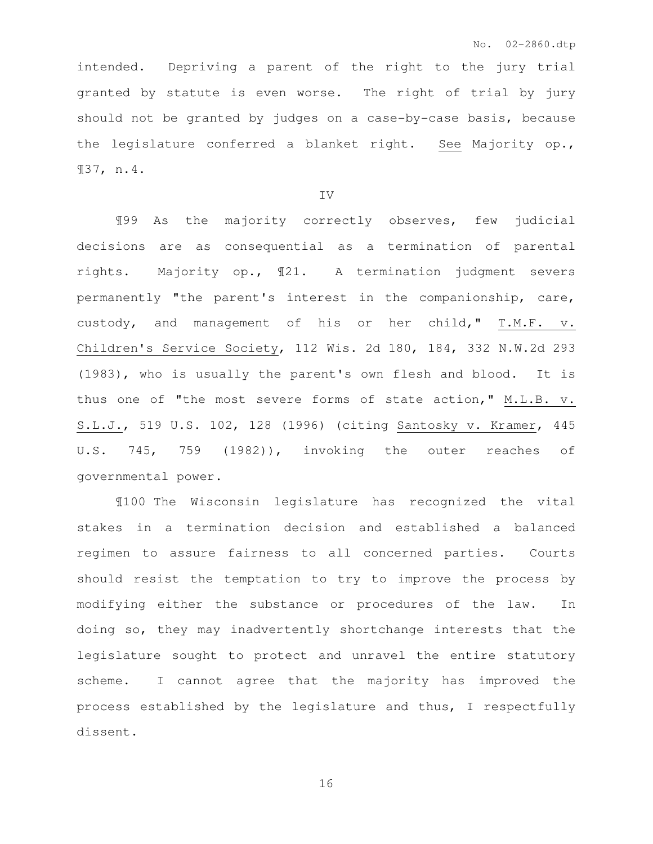intended. Depriving a parent of the right to the jury trial granted by statute is even worse. The right of trial by jury should not be granted by judges on a case-by-case basis, because the legislature conferred a blanket right. See Majority op., ¶37, n.4.

IV

¶99 As the majority correctly observes, few judicial decisions are as consequential as a termination of parental rights. Majority op., ¶21. A termination judgment severs permanently "the parent's interest in the companionship, care, custody, and management of his or her child," T.M.F. v. Children's Service Society, 112 Wis. 2d 180, 184, 332 N.W.2d 293 (1983), who is usually the parent's own flesh and blood. It is thus one of "the most severe forms of state action," M.L.B. v. S.L.J., 519 U.S. 102, 128 (1996) (citing Santosky v. Kramer, 445 U.S. 745, 759 (1982)), invoking the outer reaches of governmental power.

¶100 The Wisconsin legislature has recognized the vital stakes in a termination decision and established a balanced regimen to assure fairness to all concerned parties. Courts should resist the temptation to try to improve the process by modifying either the substance or procedures of the law. In doing so, they may inadvertently shortchange interests that the legislature sought to protect and unravel the entire statutory scheme. I cannot agree that the majority has improved the process established by the legislature and thus, I respectfully dissent.